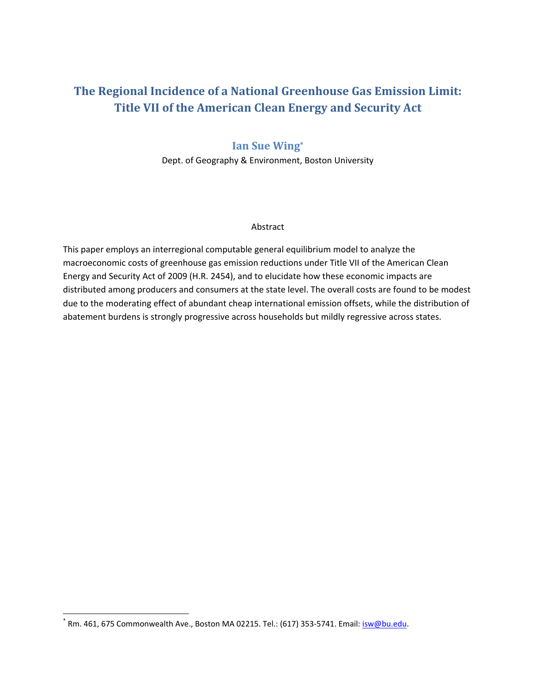# **The Regional Incidence of a National Greenhouse Gas Emission Limit: Title VII of the American Clean Energy and Security Act**

## **Ian Sue Wing\***

Dept. of Geography & Environment, Boston University

## Abstract

This paper employs an interregional computable general equilibrium model to analyze the macroeconomic costs of greenhouse gas emission reductions under Title VII of the American Clean Energy and Security Act of 2009 (H.R. 2454), and to elucidate how these economic impacts are distributed among producers and consumers at the state level. The overall costs are found to be modest due to the moderating effect of abundant cheap international emission offsets, while the distribution of abatement burdens is strongly progressive across households but mildly regressive across states.

 $^*$  Rm. 461, 675 Commonwealth Ave., Boston MA 02215. Tel.: (617) 353-5741. Email: isw@bu.edu.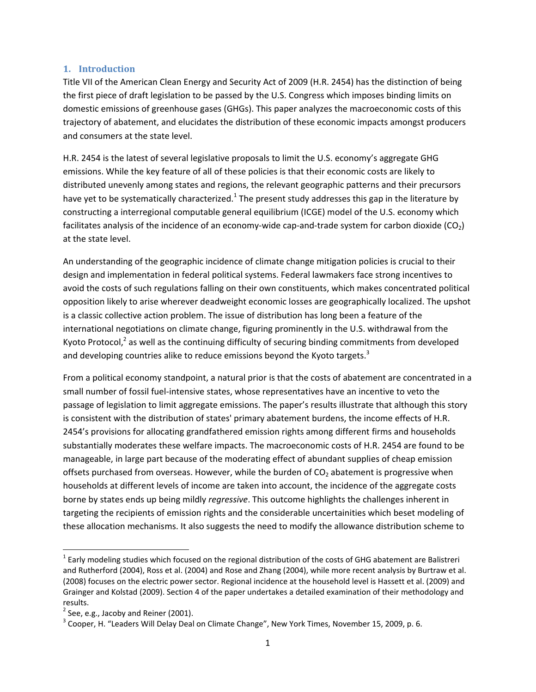### **1. Introduction**

Title VII of the American Clean Energy and Security Act of 2009 (H.R. 2454) has the distinction of being the first piece of draft legislation to be passed by the U.S. Congress which imposes binding limits on domestic emissions of greenhouse gases (GHGs). This paper analyzes the macroeconomic costs of this trajectory of abatement, and elucidates the distribution of these economic impacts amongst producers and consumers at the state level.

H.R. 2454 is the latest of several legislative proposals to limit the U.S. economy's aggregate GHG emissions. While the key feature of all of these policies is that their economic costs are likely to distributed unevenly among states and regions, the relevant geographic patterns and their precursors have yet to be systematically characterized.<sup>1</sup> The present study addresses this gap in the literature by constructing a interregional computable general equilibrium (ICGE) model of the U.S. economy which facilitates analysis of the incidence of an economy-wide cap-and-trade system for carbon dioxide ( $CO<sub>2</sub>$ ) at the state level.

An understanding of the geographic incidence of climate change mitigation policies is crucial to their design and implementation in federal political systems. Federal lawmakers face strong incentives to avoid the costs of such regulations falling on their own constituents, which makes concentrated political opposition likely to arise wherever deadweight economic losses are geographically localized. The upshot is a classic collective action problem. The issue of distribution has long been a feature of the international negotiations on climate change, figuring prominently in the U.S. withdrawal from the Kyoto Protocol, $<sup>2</sup>$  as well as the continuing difficulty of securing binding commitments from developed</sup> and developing countries alike to reduce emissions beyond the Kyoto targets. $3$ 

From a political economy standpoint, a natural prior is that the costs of abatement are concentrated in a small number of fossil fuel‐intensive states, whose representatives have an incentive to veto the passage of legislation to limit aggregate emissions. The paper's results illustrate that although this story is consistent with the distribution of states' primary abatement burdens, the income effects of H.R. 2454's provisions for allocating grandfathered emission rights among different firms and households substantially moderates these welfare impacts. The macroeconomic costs of H.R. 2454 are found to be manageable, in large part because of the moderating effect of abundant supplies of cheap emission offsets purchased from overseas. However, while the burden of  $CO<sub>2</sub>$  abatement is progressive when households at different levels of income are taken into account, the incidence of the aggregate costs borne by states ends up being mildly *regressive*. This outcome highlights the challenges inherent in targeting the recipients of emission rights and the considerable uncertainities which beset modeling of these allocation mechanisms. It also suggests the need to modify the allowance distribution scheme to

 $1$  Early modeling studies which focused on the regional distribution of the costs of GHG abatement are Balistreri and Rutherford (2004), Ross et al. (2004) and Rose and Zhang (2004), while more recent analysis by Burtraw et al. (2008) focuses on the electric power sector. Regional incidence at the household level is Hassett et al. (2009) and Grainger and Kolstad (2009). Section 4 of the paper undertakes a detailed examination of their methodology and results.<br> $^2$  See, e.g., Jacoby and Reiner (2001).

 $3$  Cooper, H. "Leaders Will Delay Deal on Climate Change", New York Times, November 15, 2009, p. 6.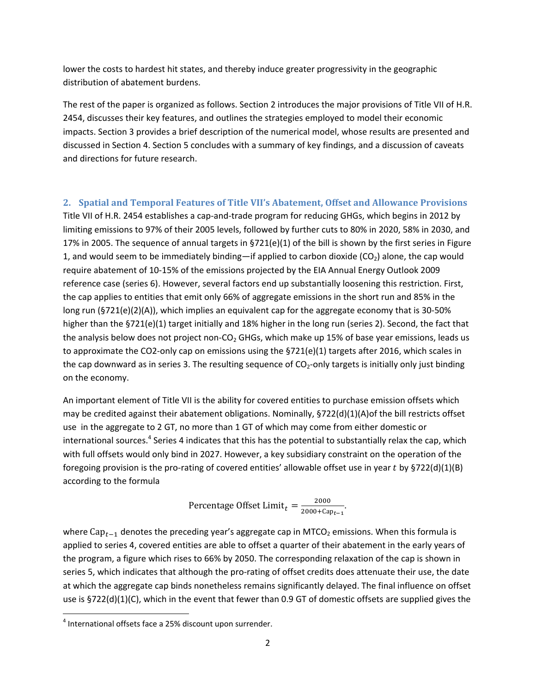lower the costs to hardest hit states, and thereby induce greater progressivity in the geographic distribution of abatement burdens.

The rest of the paper is organized as follows. Section 2 introduces the major provisions of Title VII of H.R. 2454, discusses their key features, and outlines the strategies employed to model their economic impacts. Section 3 provides a brief description of the numerical model, whose results are presented and discussed in Section 4. Section 5 concludes with a summary of key findings, and a discussion of caveats and directions for future research.

**2. Spatial and Temporal Features of Title VII's Abatement, Offset and Allowance Provisions** Title VII of H.R. 2454 establishes a cap-and-trade program for reducing GHGs, which begins in 2012 by limiting emissions to 97% of their 2005 levels, followed by further cuts to 80% in 2020, 58% in 2030, and 17% in 2005. The sequence of annual targets in §721(e)(1) of the bill is shown by the first series in Figure 1, and would seem to be immediately binding—if applied to carbon dioxide  $(CO<sub>2</sub>)$  alone, the cap would require abatement of 10‐15% of the emissions projected by the EIA Annual Energy Outlook 2009 reference case (series 6). However, several factors end up substantially loosening this restriction. First, the cap applies to entities that emit only 66% of aggregate emissions in the short run and 85% in the long run (§721(e)(2)(A)), which implies an equivalent cap for the aggregate economy that is 30‐50% higher than the §721(e)(1) target initially and 18% higher in the long run (series 2). Second, the fact that the analysis below does not project non- $CO<sub>2</sub>$  GHGs, which make up 15% of base year emissions, leads us to approximate the CO2-only cap on emissions using the §721(e)(1) targets after 2016, which scales in the cap downward as in series 3. The resulting sequence of  $CO<sub>2</sub>$ -only targets is initially only just binding on the economy.

An important element of Title VII is the ability for covered entities to purchase emission offsets which may be credited against their abatement obligations. Nominally, §722(d)(1)(A)of the bill restricts offset use in the aggregate to 2 GT, no more than 1 GT of which may come from either domestic or international sources.<sup>4</sup> Series 4 indicates that this has the potential to substantially relax the cap, which with full offsets would only bind in 2027. However, a key subsidiary constraint on the operation of the foregoing provision is the pro-rating of covered entities' allowable offset use in year t by  $\S 722(d)(1)(B)$ according to the formula

Percentage Offset Limit<sub>t</sub> =  $\frac{2000}{2000 + \text{Cap}_{t-1}}$ .

where  $Cap_{t-1}$  denotes the preceding year's aggregate cap in MTCO<sub>2</sub> emissions. When this formula is applied to series 4, covered entities are able to offset a quarter of their abatement in the early years of the program, a figure which rises to 66% by 2050. The corresponding relaxation of the cap is shown in series 5, which indicates that although the pro-rating of offset credits does attenuate their use, the date at which the aggregate cap binds nonetheless remains significantly delayed. The final influence on offset use is §722(d)(1)(C), which in the event that fewer than 0.9 GT of domestic offsets are supplied gives the

<sup>4</sup> International offsets face a 25% discount upon surrender.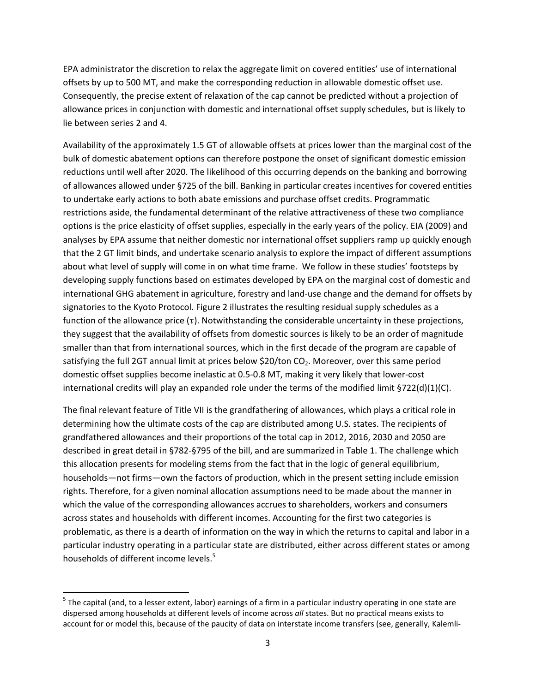EPA administrator the discretion to relax the aggregate limit on covered entities' use of international offsets by up to 500 MT, and make the corresponding reduction in allowable domestic offset use. Consequently, the precise extent of relaxation of the cap cannot be predicted without a projection of allowance prices in conjunction with domestic and international offset supply schedules, but is likely to lie between series 2 and 4.

Availability of the approximately 1.5 GT of allowable offsets at prices lower than the marginal cost of the bulk of domestic abatement options can therefore postpone the onset of significant domestic emission reductions until well after 2020. The likelihood of this occurring depends on the banking and borrowing of allowances allowed under §725 of the bill. Banking in particular creates incentives for covered entities to undertake early actions to both abate emissions and purchase offset credits. Programmatic restrictions aside, the fundamental determinant of the relative attractiveness of these two compliance options is the price elasticity of offset supplies, especially in the early years of the policy. EIA (2009) and analyses by EPA assume that neither domestic nor international offset suppliers ramp up quickly enough that the 2 GT limit binds, and undertake scenario analysis to explore the impact of different assumptions about what level of supply will come in on what time frame. We follow in these studies' footsteps by developing supply functions based on estimates developed by EPA on the marginal cost of domestic and international GHG abatement in agriculture, forestry and land‐use change and the demand for offsets by signatories to the Kyoto Protocol. Figure 2 illustrates the resulting residual supply schedules as a function of the allowance price  $(\tau)$ . Notwithstanding the considerable uncertainty in these projections, they suggest that the availability of offsets from domestic sources is likely to be an order of magnitude smaller than that from international sources, which in the first decade of the program are capable of satisfying the full 2GT annual limit at prices below \$20/ton CO<sub>2</sub>. Moreover, over this same period domestic offset supplies become inelastic at 0.5‐0.8 MT, making it very likely that lower‐cost international credits will play an expanded role under the terms of the modified limit §722(d)(1)(C).

The final relevant feature of Title VII is the grandfathering of allowances, which plays a critical role in determining how the ultimate costs of the cap are distributed among U.S. states. The recipients of grandfathered allowances and their proportions of the total cap in 2012, 2016, 2030 and 2050 are described in great detail in §782‐§795 of the bill, and are summarized in Table 1. The challenge which this allocation presents for modeling stems from the fact that in the logic of general equilibrium, households—not firms—own the factors of production, which in the present setting include emission rights. Therefore, for a given nominal allocation assumptions need to be made about the manner in which the value of the corresponding allowances accrues to shareholders, workers and consumers across states and households with different incomes. Accounting for the first two categories is problematic, as there is a dearth of information on the way in which the returns to capital and labor in a particular industry operating in a particular state are distributed, either across different states or among households of different income levels.<sup>5</sup>

<sup>&</sup>lt;sup>5</sup> The capital (and, to a lesser extent, labor) earnings of a firm in a particular industry operating in one state are dispersed among households at different levels of income across *all* states. But no practical means exists to account for or model this, because of the paucity of data on interstate income transfers (see, generally, Kalemli-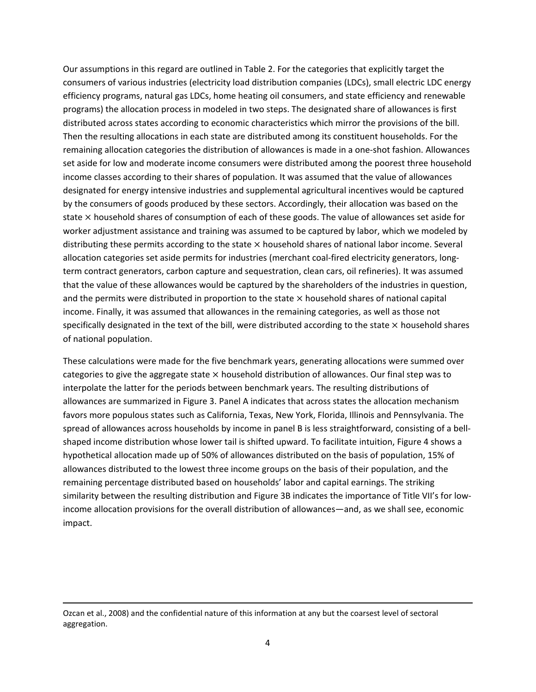Our assumptions in this regard are outlined in Table 2. For the categories that explicitly target the consumers of various industries (electricity load distribution companies (LDCs), small electric LDC energy efficiency programs, natural gas LDCs, home heating oil consumers, and state efficiency and renewable programs) the allocation process in modeled in two steps. The designated share of allowances is first distributed across states according to economic characteristics which mirror the provisions of the bill. Then the resulting allocations in each state are distributed among its constituent households. For the remaining allocation categories the distribution of allowances is made in a one‐shot fashion. Allowances set aside for low and moderate income consumers were distributed among the poorest three household income classes according to their shares of population. It was assumed that the value of allowances designated for energy intensive industries and supplemental agricultural incentives would be captured by the consumers of goods produced by these sectors. Accordingly, their allocation was based on the state  $\times$  household shares of consumption of each of these goods. The value of allowances set aside for worker adjustment assistance and training was assumed to be captured by labor, which we modeled by distributing these permits according to the state  $\times$  household shares of national labor income. Several allocation categories set aside permits for industries (merchant coal‐fired electricity generators, long‐ term contract generators, carbon capture and sequestration, clean cars, oil refineries). It was assumed that the value of these allowances would be captured by the shareholders of the industries in question, and the permits were distributed in proportion to the state  $\times$  household shares of national capital income. Finally, it was assumed that allowances in the remaining categories, as well as those not specifically designated in the text of the bill, were distributed according to the state  $\times$  household shares of national population.

These calculations were made for the five benchmark years, generating allocations were summed over categories to give the aggregate state  $\times$  household distribution of allowances. Our final step was to interpolate the latter for the periods between benchmark years. The resulting distributions of allowances are summarized in Figure 3. Panel A indicates that across states the allocation mechanism favors more populous states such as California, Texas, New York, Florida, Illinois and Pennsylvania. The spread of allowances across households by income in panel B is less straightforward, consisting of a bellshaped income distribution whose lower tail is shifted upward. To facilitate intuition, Figure 4 shows a hypothetical allocation made up of 50% of allowances distributed on the basis of population, 15% of allowances distributed to the lowest three income groups on the basis of their population, and the remaining percentage distributed based on households' labor and capital earnings. The striking similarity between the resulting distribution and Figure 3B indicates the importance of Title VII's for lowincome allocation provisions for the overall distribution of allowances—and, as we shall see, economic impact.

<u> Andrewski politika (za obrazu za obrazu za obrazu za obrazu za obrazu za obrazu za obrazu za obrazu za obrazu</u>

Ozcan et al., 2008) and the confidential nature of this information at any but the coarsest level of sectoral aggregation.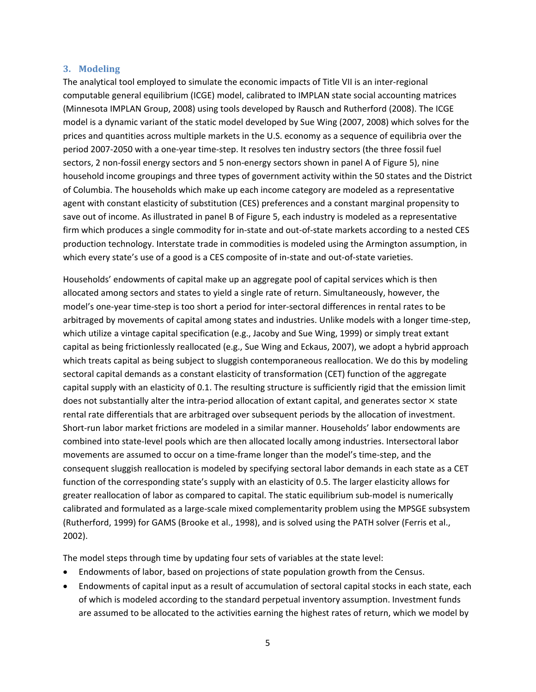#### **3. Modeling**

The analytical tool employed to simulate the economic impacts of Title VII is an inter-regional computable general equilibrium (ICGE) model, calibrated to IMPLAN state social accounting matrices (Minnesota IMPLAN Group, 2008) using tools developed by Rausch and Rutherford (2008). The ICGE model is a dynamic variant of the static model developed by Sue Wing (2007, 2008) which solves for the prices and quantities across multiple markets in the U.S. economy as a sequence of equilibria over the period 2007‐2050 with a one‐year time‐step. It resolves ten industry sectors (the three fossil fuel sectors, 2 non-fossil energy sectors and 5 non-energy sectors shown in panel A of Figure 5), nine household income groupings and three types of government activity within the 50 states and the District of Columbia. The households which make up each income category are modeled as a representative agent with constant elasticity of substitution (CES) preferences and a constant marginal propensity to save out of income. As illustrated in panel B of Figure 5, each industry is modeled as a representative firm which produces a single commodity for in-state and out-of-state markets according to a nested CES production technology. Interstate trade in commodities is modeled using the Armington assumption, in which every state's use of a good is a CES composite of in-state and out-of-state varieties.

Households' endowments of capital make up an aggregate pool of capital services which is then allocated among sectors and states to yield a single rate of return. Simultaneously, however, the model's one‐year time‐step is too short a period for inter‐sectoral differences in rental rates to be arbitraged by movements of capital among states and industries. Unlike models with a longer time‐step, which utilize a vintage capital specification (e.g., Jacoby and Sue Wing, 1999) or simply treat extant capital as being frictionlessly reallocated (e.g., Sue Wing and Eckaus, 2007), we adopt a hybrid approach which treats capital as being subject to sluggish contemporaneous reallocation. We do this by modeling sectoral capital demands as a constant elasticity of transformation (CET) function of the aggregate capital supply with an elasticity of 0.1. The resulting structure is sufficiently rigid that the emission limit does not substantially alter the intra-period allocation of extant capital, and generates sector  $\times$  state rental rate differentials that are arbitraged over subsequent periods by the allocation of investment. Short‐run labor market frictions are modeled in a similar manner. Households' labor endowments are combined into state‐level pools which are then allocated locally among industries. Intersectoral labor movements are assumed to occur on a time‐frame longer than the model's time‐step, and the consequent sluggish reallocation is modeled by specifying sectoral labor demands in each state as a CET function of the corresponding state's supply with an elasticity of 0.5. The larger elasticity allows for greater reallocation of labor as compared to capital. The static equilibrium sub-model is numerically calibrated and formulated as a large‐scale mixed complementarity problem using the MPSGE subsystem (Rutherford, 1999) for GAMS (Brooke et al., 1998), and is solved using the PATH solver (Ferris et al., 2002).

The model steps through time by updating four sets of variables at the state level:

- Endowments of labor, based on projections of state population growth from the Census.
- Endowments of capital input as a result of accumulation of sectoral capital stocks in each state, each of which is modeled according to the standard perpetual inventory assumption. Investment funds are assumed to be allocated to the activities earning the highest rates of return, which we model by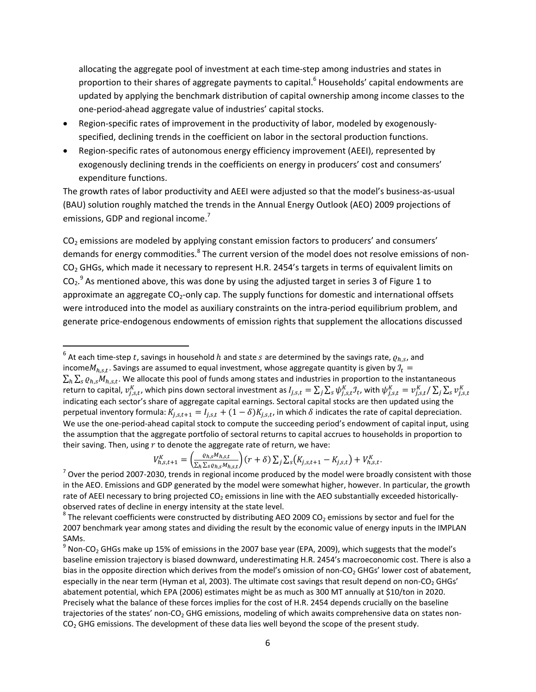allocating the aggregate pool of investment at each time‐step among industries and states in proportion to their shares of aggregate payments to capital.<sup>6</sup> Households' capital endowments are updated by applying the benchmark distribution of capital ownership among income classes to the one‐period‐ahead aggregate value of industries' capital stocks.

- Region‐specific rates of improvement in the productivity of labor, modeled by exogenously‐ specified, declining trends in the coefficient on labor in the sectoral production functions.
- Region‐specific rates of autonomous energy efficiency improvement (AEEI), represented by exogenously declining trends in the coefficients on energy in producers' cost and consumers' expenditure functions.

The growth rates of labor productivity and AEEI were adjusted so that the model's business‐as‐usual (BAU) solution roughly matched the trends in the Annual Energy Outlook (AEO) 2009 projections of emissions, GDP and regional income.<sup>7</sup>

CO<sub>2</sub> emissions are modeled by applying constant emission factors to producers' and consumers' demands for energy commodities.<sup>8</sup> The current version of the model does not resolve emissions of non-CO<sub>2</sub> GHGs, which made it necessary to represent H.R. 2454's targets in terms of equivalent limits on  $CO<sub>2</sub>$ .<sup>9</sup> As mentioned above, this was done by using the adjusted target in series 3 of Figure 1 to approximate an aggregate CO<sub>2</sub>-only cap. The supply functions for domestic and international offsets were introduced into the model as auxiliary constraints on the intra-period equilibrium problem, and generate price‐endogenous endowments of emission rights that supplement the allocations discussed

$$
V_{h,s,t+1}^{K} = \left(\frac{\varrho_{h,s}M_{h,s,t}}{\sum_{h} \sum_{s} \varrho_{h,s}M_{h,s,t}}\right)(r+\delta) \sum_{j} \sum_{s} \left(K_{j,s,t+1} - K_{j,s,t}\right) + V_{h,s,t}^{K}.
$$

 $^6$  At each time-step  $t$ , savings in household  $h$  and state  $s$  are determined by the savings rate,  $\varrho_{h,s}$ , and income $M_{h,s,t}$ . Savings are assumed to equal investment, whose aggregate quantity is given by  $\mathcal{I}_t$  =  $\sum_h \sum_s \varrho_{h,s} M_{h,s,t}$ . We allocate this pool of funds among states and industries in proportion to the instantaneous return to capital,  $v_{j,s,t}^K$ , which pins down sectoral investment as  $I_{j,s,t}=\sum_j\sum_s\psi_{j,s,t}^K\mathcal{I}_t$ , with  $\psi_{j,s,t}^K=v_{j,s,t}^K/\sum_j\sum_s v_{j,s,t}^K$ indicating each sector's share of aggregate capital earnings. Sectoral capital stocks are then updated using the perpetual inventory formula:  $K_{j,s,t+1} = I_{j,s,t} + (1-\delta)K_{j,s,t}$ , in which  $\delta$  indicates the rate of capital depreciation. We use the one-period-ahead capital stock to compute the succeeding period's endowment of capital input, using the assumption that the aggregate portfolio of sectoral returns to capital accrues to households in proportion to their saving. Then, using  $r$  to denote the aggregate rate of return, we have:

 $7$  Over the period 2007-2030, trends in regional income produced by the model were broadly consistent with those in the AEO. Emissions and GDP generated by the model were somewhat higher, however. In particular, the growth rate of AEEI necessary to bring projected  $CO<sub>2</sub>$  emissions in line with the AEO substantially exceeded historicallyobserved rates of decline in energy intensity at the state level.<br><sup>8</sup> The relevant coefficients were constructed by distributing AEO 2009 CO<sub>2</sub> emissions by sector and fuel for the

<sup>2007</sup> benchmark year among states and dividing the result by the economic value of energy inputs in the IMPLAN SAMs.

 $9$  Non-CO<sub>2</sub> GHGs make up 15% of emissions in the 2007 base year (EPA, 2009), which suggests that the model's baseline emission trajectory is biased downward, underestimating H.R. 2454's macroeconomic cost. There is also a bias in the opposite direction which derives from the model's omission of non-CO<sub>2</sub> GHGs' lower cost of abatement, especially in the near term (Hyman et al, 2003). The ultimate cost savings that result depend on non-CO<sub>2</sub> GHGs' abatement potential, which EPA (2006) estimates might be as much as 300 MT annually at \$10/ton in 2020. Precisely what the balance of these forces implies for the cost of H.R. 2454 depends crucially on the baseline trajectories of the states' non-CO<sub>2</sub> GHG emissions, modeling of which awaits comprehensive data on states non- $CO<sub>2</sub>$  GHG emissions. The development of these data lies well beyond the scope of the present study.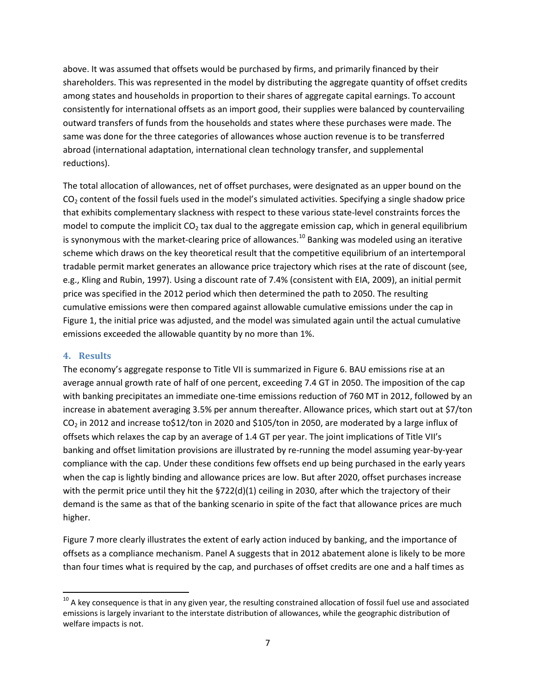above. It was assumed that offsets would be purchased by firms, and primarily financed by their shareholders. This was represented in the model by distributing the aggregate quantity of offset credits among states and households in proportion to their shares of aggregate capital earnings. To account consistently for international offsets as an import good, their supplies were balanced by countervailing outward transfers of funds from the households and states where these purchases were made. The same was done for the three categories of allowances whose auction revenue is to be transferred abroad (international adaptation, international clean technology transfer, and supplemental reductions).

The total allocation of allowances, net of offset purchases, were designated as an upper bound on the  $CO<sub>2</sub>$  content of the fossil fuels used in the model's simulated activities. Specifying a single shadow price that exhibits complementary slackness with respect to these various state‐level constraints forces the model to compute the implicit  $CO<sub>2</sub>$  tax dual to the aggregate emission cap, which in general equilibrium is synonymous with the market-clearing price of allowances.<sup>10</sup> Banking was modeled using an iterative scheme which draws on the key theoretical result that the competitive equilibrium of an intertemporal tradable permit market generates an allowance price trajectory which rises at the rate of discount (see, e.g., Kling and Rubin, 1997). Using a discount rate of 7.4% (consistent with EIA, 2009), an initial permit price was specified in the 2012 period which then determined the path to 2050. The resulting cumulative emissions were then compared against allowable cumulative emissions under the cap in Figure 1, the initial price was adjusted, and the model was simulated again until the actual cumulative emissions exceeded the allowable quantity by no more than 1%.

### **4. Results**

The economy's aggregate response to Title VII is summarized in Figure 6. BAU emissions rise at an average annual growth rate of half of one percent, exceeding 7.4 GT in 2050. The imposition of the cap with banking precipitates an immediate one-time emissions reduction of 760 MT in 2012, followed by an increase in abatement averaging 3.5% per annum thereafter. Allowance prices, which start out at \$7/ton  $CO<sub>2</sub>$  in 2012 and increase to \$12/ton in 2020 and \$105/ton in 2050, are moderated by a large influx of offsets which relaxes the cap by an average of 1.4 GT per year. The joint implications of Title VII's banking and offset limitation provisions are illustrated by re‐running the model assuming year‐by‐year compliance with the cap. Under these conditions few offsets end up being purchased in the early years when the cap is lightly binding and allowance prices are low. But after 2020, offset purchases increase with the permit price until they hit the §722(d)(1) ceiling in 2030, after which the trajectory of their demand is the same as that of the banking scenario in spite of the fact that allowance prices are much higher.

Figure 7 more clearly illustrates the extent of early action induced by banking, and the importance of offsets as a compliance mechanism. Panel A suggests that in 2012 abatement alone is likely to be more than four times what is required by the cap, and purchases of offset credits are one and a half times as

 $^{10}$  A key consequence is that in any given year, the resulting constrained allocation of fossil fuel use and associated emissions is largely invariant to the interstate distribution of allowances, while the geographic distribution of welfare impacts is not.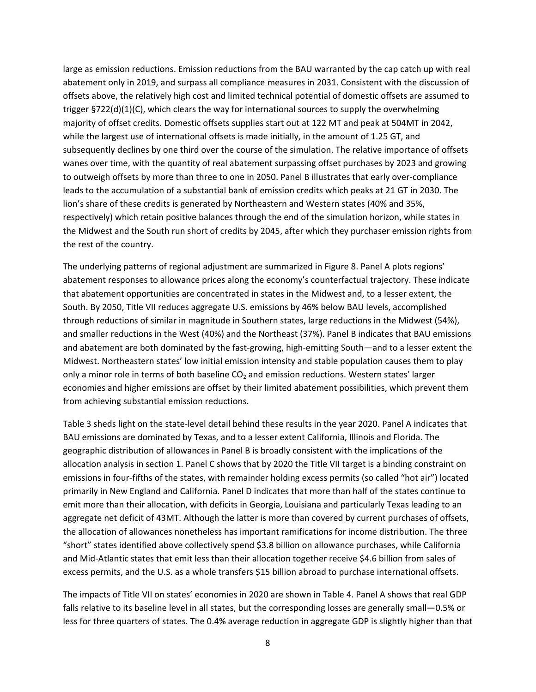large as emission reductions. Emission reductions from the BAU warranted by the cap catch up with real abatement only in 2019, and surpass all compliance measures in 2031. Consistent with the discussion of offsets above, the relatively high cost and limited technical potential of domestic offsets are assumed to trigger §722(d)(1)(C), which clears the way for international sources to supply the overwhelming majority of offset credits. Domestic offsets supplies start out at 122 MT and peak at 504MT in 2042, while the largest use of international offsets is made initially, in the amount of 1.25 GT, and subsequently declines by one third over the course of the simulation. The relative importance of offsets wanes over time, with the quantity of real abatement surpassing offset purchases by 2023 and growing to outweigh offsets by more than three to one in 2050. Panel B illustrates that early over‐compliance leads to the accumulation of a substantial bank of emission credits which peaks at 21 GT in 2030. The lion's share of these credits is generated by Northeastern and Western states (40% and 35%, respectively) which retain positive balances through the end of the simulation horizon, while states in the Midwest and the South run short of credits by 2045, after which they purchaser emission rights from the rest of the country.

The underlying patterns of regional adjustment are summarized in Figure 8. Panel A plots regions' abatement responses to allowance prices along the economy's counterfactual trajectory. These indicate that abatement opportunities are concentrated in states in the Midwest and, to a lesser extent, the South. By 2050, Title VII reduces aggregate U.S. emissions by 46% below BAU levels, accomplished through reductions of similar in magnitude in Southern states, large reductions in the Midwest (54%), and smaller reductions in the West (40%) and the Northeast (37%). Panel B indicates that BAU emissions and abatement are both dominated by the fast-growing, high-emitting South—and to a lesser extent the Midwest. Northeastern states' low initial emission intensity and stable population causes them to play only a minor role in terms of both baseline  $CO<sub>2</sub>$  and emission reductions. Western states' larger economies and higher emissions are offset by their limited abatement possibilities, which prevent them from achieving substantial emission reductions.

Table 3 sheds light on the state‐level detail behind these results in the year 2020. Panel A indicates that BAU emissions are dominated by Texas, and to a lesser extent California, Illinois and Florida. The geographic distribution of allowances in Panel B is broadly consistent with the implications of the allocation analysis in section 1. Panel C shows that by 2020 the Title VII target is a binding constraint on emissions in four‐fifths of the states, with remainder holding excess permits (so called "hot air") located primarily in New England and California. Panel D indicates that more than half of the states continue to emit more than their allocation, with deficits in Georgia, Louisiana and particularly Texas leading to an aggregate net deficit of 43MT. Although the latter is more than covered by current purchases of offsets, the allocation of allowances nonetheless has important ramifications for income distribution. The three "short" states identified above collectively spend \$3.8 billion on allowance purchases, while California and Mid‐Atlantic states that emit less than their allocation together receive \$4.6 billion from sales of excess permits, and the U.S. as a whole transfers \$15 billion abroad to purchase international offsets.

The impacts of Title VII on states' economies in 2020 are shown in Table 4. Panel A shows that real GDP falls relative to its baseline level in all states, but the corresponding losses are generally small—0.5% or less for three quarters of states. The 0.4% average reduction in aggregate GDP is slightly higher than that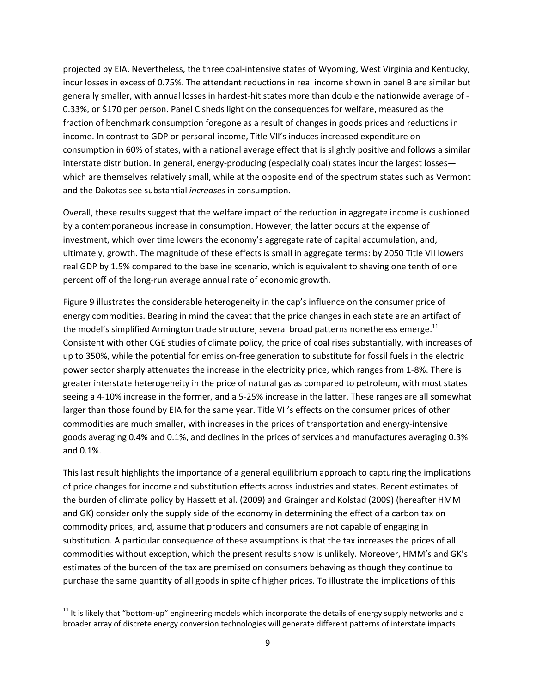projected by EIA. Nevertheless, the three coal‐intensive states of Wyoming, West Virginia and Kentucky, incur losses in excess of 0.75%. The attendant reductions in real income shown in panel B are similar but generally smaller, with annual losses in hardest-hit states more than double the nationwide average of -0.33%, or \$170 per person. Panel C sheds light on the consequences for welfare, measured as the fraction of benchmark consumption foregone as a result of changes in goods prices and reductions in income. In contrast to GDP or personal income, Title VII's induces increased expenditure on consumption in 60% of states, with a national average effect that is slightly positive and follows a similar interstate distribution. In general, energy-producing (especially coal) states incur the largest losses which are themselves relatively small, while at the opposite end of the spectrum states such as Vermont and the Dakotas see substantial *increases* in consumption.

Overall, these results suggest that the welfare impact of the reduction in aggregate income is cushioned by a contemporaneous increase in consumption. However, the latter occurs at the expense of investment, which over time lowers the economy's aggregate rate of capital accumulation, and, ultimately, growth. The magnitude of these effects is small in aggregate terms: by 2050 Title VII lowers real GDP by 1.5% compared to the baseline scenario, which is equivalent to shaving one tenth of one percent off of the long-run average annual rate of economic growth.

Figure 9 illustrates the considerable heterogeneity in the cap's influence on the consumer price of energy commodities. Bearing in mind the caveat that the price changes in each state are an artifact of the model's simplified Armington trade structure, several broad patterns nonetheless emerge.<sup>11</sup> Consistent with other CGE studies of climate policy, the price of coal rises substantially, with increases of up to 350%, while the potential for emission-free generation to substitute for fossil fuels in the electric power sector sharply attenuates the increase in the electricity price, which ranges from 1‐8%. There is greater interstate heterogeneity in the price of natural gas as compared to petroleum, with most states seeing a 4‐10% increase in the former, and a 5‐25% increase in the latter. These ranges are all somewhat larger than those found by EIA for the same year. Title VII's effects on the consumer prices of other commodities are much smaller, with increases in the prices of transportation and energy‐intensive goods averaging 0.4% and 0.1%, and declines in the prices of services and manufactures averaging 0.3% and 0.1%.

This last result highlights the importance of a general equilibrium approach to capturing the implications of price changes for income and substitution effects across industries and states. Recent estimates of the burden of climate policy by Hassett et al. (2009) and Grainger and Kolstad (2009) (hereafter HMM and GK) consider only the supply side of the economy in determining the effect of a carbon tax on commodity prices, and, assume that producers and consumers are not capable of engaging in substitution. A particular consequence of these assumptions is that the tax increases the prices of all commodities without exception, which the present results show is unlikely. Moreover, HMM's and GK's estimates of the burden of the tax are premised on consumers behaving as though they continue to purchase the same quantity of all goods in spite of higher prices. To illustrate the implications of this

 $11$  It is likely that "bottom-up" engineering models which incorporate the details of energy supply networks and a broader array of discrete energy conversion technologies will generate different patterns of interstate impacts.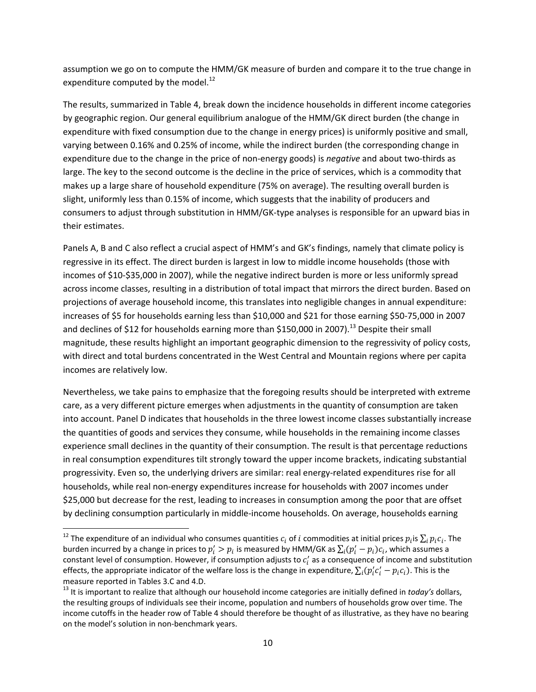assumption we go on to compute the HMM/GK measure of burden and compare it to the true change in expenditure computed by the model. $^{12}$ 

The results, summarized in Table 4, break down the incidence households in different income categories by geographic region. Our general equilibrium analogue of the HMM/GK direct burden (the change in expenditure with fixed consumption due to the change in energy prices) is uniformly positive and small, varying between 0.16% and 0.25% of income, while the indirect burden (the corresponding change in expenditure due to the change in the price of non‐energy goods) is *negative* and about two‐thirds as large. The key to the second outcome is the decline in the price of services, which is a commodity that makes up a large share of household expenditure (75% on average). The resulting overall burden is slight, uniformly less than 0.15% of income, which suggests that the inability of producers and consumers to adjust through substitution in HMM/GK‐type analyses is responsible for an upward bias in their estimates.

Panels A, B and C also reflect a crucial aspect of HMM's and GK's findings, namely that climate policy is regressive in its effect. The direct burden is largest in low to middle income households (those with incomes of \$10‐\$35,000 in 2007), while the negative indirect burden is more or less uniformly spread across income classes, resulting in a distribution of total impact that mirrors the direct burden. Based on projections of average household income, this translates into negligible changes in annual expenditure: increases of \$5 for households earning less than \$10,000 and \$21 for those earning \$50‐75,000 in 2007 and declines of \$12 for households earning more than \$150,000 in 2007).<sup>13</sup> Despite their small magnitude, these results highlight an important geographic dimension to the regressivity of policy costs, with direct and total burdens concentrated in the West Central and Mountain regions where per capita incomes are relatively low.

Nevertheless, we take pains to emphasize that the foregoing results should be interpreted with extreme care, as a very different picture emerges when adjustments in the quantity of consumption are taken into account. Panel D indicates that households in the three lowest income classes substantially increase the quantities of goods and services they consume, while households in the remaining income classes experience small declines in the quantity of their consumption. The result is that percentage reductions in real consumption expenditures tilt strongly toward the upper income brackets, indicating substantial progressivity. Even so, the underlying drivers are similar: real energy-related expenditures rise for all households, while real non‐energy expenditures increase for households with 2007 incomes under \$25,000 but decrease for the rest, leading to increases in consumption among the poor that are offset by declining consumption particularly in middle‐income households. On average, households earning

<sup>&</sup>lt;sup>12</sup> The expenditure of an individual who consumes quantities  $c_i$  of i commodities at initial prices  $p_i$  is  $\sum_i p_i c_i$ . The burden incurred by a change in prices to  $p'_i>p_i$  is measured by HMM/GK as  $\sum_i (p'_i-p_i)c_i$ , which assumes a constant level of consumption. However, if consumption adjusts to  $c'_i$  as a consequence of income and substitution effects, the appropriate indicator of the welfare loss is the change in expenditure,  $\sum_i (p'_i c'_i - p_i c_i)$ . This is the measure reported in Tables 3.C and 4.D.<br><sup>13</sup> It is important to realize that although our household income categories are initially defined in *today's* dollars,

the resulting groups of individuals see their income, population and numbers of households grow over time. The income cutoffs in the header row of Table 4 should therefore be thought of as illustrative, as they have no bearing on the model's solution in non‐benchmark years.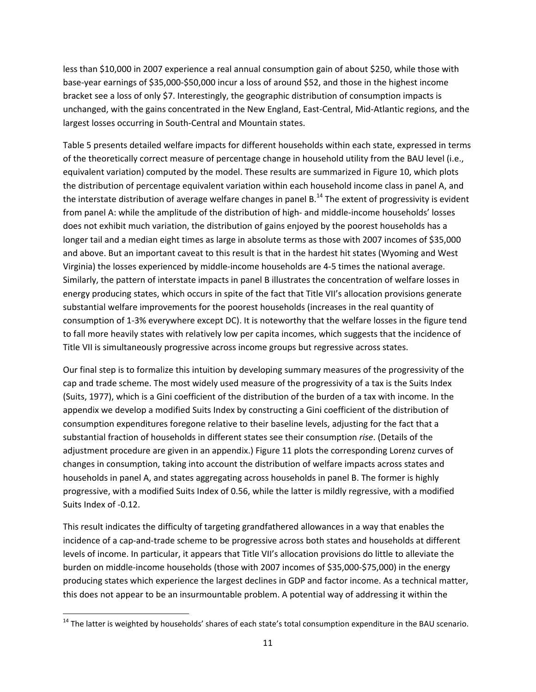less than \$10,000 in 2007 experience a real annual consumption gain of about \$250, while those with base‐year earnings of \$35,000‐\$50,000 incur a loss of around \$52, and those in the highest income bracket see a loss of only \$7. Interestingly, the geographic distribution of consumption impacts is unchanged, with the gains concentrated in the New England, East‐Central, Mid‐Atlantic regions, and the largest losses occurring in South‐Central and Mountain states.

Table 5 presents detailed welfare impacts for different households within each state, expressed in terms of the theoretically correct measure of percentage change in household utility from the BAU level (i.e., equivalent variation) computed by the model. These results are summarized in Figure 10, which plots the distribution of percentage equivalent variation within each household income class in panel A, and the interstate distribution of average welfare changes in panel  $B<sup>14</sup>$  The extent of progressivity is evident from panel A: while the amplitude of the distribution of high- and middle-income households' losses does not exhibit much variation, the distribution of gains enjoyed by the poorest households has a longer tail and a median eight times as large in absolute terms as those with 2007 incomes of \$35,000 and above. But an important caveat to this result is that in the hardest hit states (Wyoming and West Virginia) the losses experienced by middle‐income households are 4‐5 times the national average. Similarly, the pattern of interstate impacts in panel B illustrates the concentration of welfare losses in energy producing states, which occurs in spite of the fact that Title VII's allocation provisions generate substantial welfare improvements for the poorest households (increases in the real quantity of consumption of 1‐3% everywhere except DC). It is noteworthy that the welfare losses in the figure tend to fall more heavily states with relatively low per capita incomes, which suggests that the incidence of Title VII is simultaneously progressive across income groups but regressive across states.

Our final step is to formalize this intuition by developing summary measures of the progressivity of the cap and trade scheme. The most widely used measure of the progressivity of a tax is the Suits Index (Suits, 1977), which is a Gini coefficient of the distribution of the burden of a tax with income. In the appendix we develop a modified Suits Index by constructing a Gini coefficient of the distribution of consumption expenditures foregone relative to their baseline levels, adjusting for the fact that a substantial fraction of households in different states see their consumption *rise*. (Details of the adjustment procedure are given in an appendix.) Figure 11 plots the corresponding Lorenz curves of changes in consumption, taking into account the distribution of welfare impacts across states and households in panel A, and states aggregating across households in panel B. The former is highly progressive, with a modified Suits Index of 0.56, while the latter is mildly regressive, with a modified Suits Index of ‐0.12.

This result indicates the difficulty of targeting grandfathered allowances in a way that enables the incidence of a cap-and-trade scheme to be progressive across both states and households at different levels of income. In particular, it appears that Title VII's allocation provisions do little to alleviate the burden on middle‐income households (those with 2007 incomes of \$35,000‐\$75,000) in the energy producing states which experience the largest declines in GDP and factor income. As a technical matter, this does not appear to be an insurmountable problem. A potential way of addressing it within the

<sup>&</sup>lt;sup>14</sup> The latter is weighted by households' shares of each state's total consumption expenditure in the BAU scenario.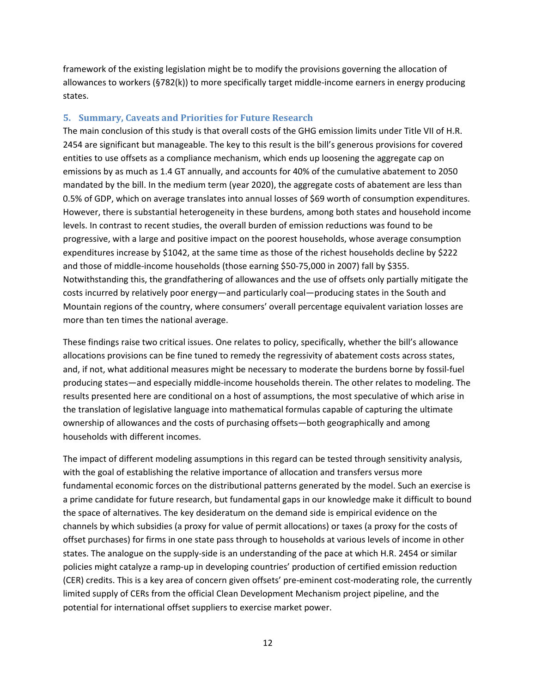framework of the existing legislation might be to modify the provisions governing the allocation of allowances to workers (§782(k)) to more specifically target middle‐income earners in energy producing states.

## **5. Summary, Caveats and Priorities for Future Research**

The main conclusion of this study is that overall costs of the GHG emission limits under Title VII of H.R. 2454 are significant but manageable. The key to this result is the bill's generous provisions for covered entities to use offsets as a compliance mechanism, which ends up loosening the aggregate cap on emissions by as much as 1.4 GT annually, and accounts for 40% of the cumulative abatement to 2050 mandated by the bill. In the medium term (year 2020), the aggregate costs of abatement are less than 0.5% of GDP, which on average translates into annual losses of \$69 worth of consumption expenditures. However, there is substantial heterogeneity in these burdens, among both states and household income levels. In contrast to recent studies, the overall burden of emission reductions was found to be progressive, with a large and positive impact on the poorest households, whose average consumption expenditures increase by \$1042, at the same time as those of the richest households decline by \$222 and those of middle‐income households (those earning \$50‐75,000 in 2007) fall by \$355. Notwithstanding this, the grandfathering of allowances and the use of offsets only partially mitigate the costs incurred by relatively poor energy—and particularly coal—producing states in the South and Mountain regions of the country, where consumers' overall percentage equivalent variation losses are more than ten times the national average.

These findings raise two critical issues. One relates to policy, specifically, whether the bill's allowance allocations provisions can be fine tuned to remedy the regressivity of abatement costs across states, and, if not, what additional measures might be necessary to moderate the burdens borne by fossil-fuel producing states—and especially middle‐income households therein. The other relates to modeling. The results presented here are conditional on a host of assumptions, the most speculative of which arise in the translation of legislative language into mathematical formulas capable of capturing the ultimate ownership of allowances and the costs of purchasing offsets—both geographically and among households with different incomes.

The impact of different modeling assumptions in this regard can be tested through sensitivity analysis, with the goal of establishing the relative importance of allocation and transfers versus more fundamental economic forces on the distributional patterns generated by the model. Such an exercise is a prime candidate for future research, but fundamental gaps in our knowledge make it difficult to bound the space of alternatives. The key desideratum on the demand side is empirical evidence on the channels by which subsidies (a proxy for value of permit allocations) or taxes (a proxy for the costs of offset purchases) for firms in one state pass through to households at various levels of income in other states. The analogue on the supply‐side is an understanding of the pace at which H.R. 2454 or similar policies might catalyze a ramp‐up in developing countries' production of certified emission reduction (CER) credits. This is a key area of concern given offsets' pre‐eminent cost‐moderating role, the currently limited supply of CERs from the official Clean Development Mechanism project pipeline, and the potential for international offset suppliers to exercise market power.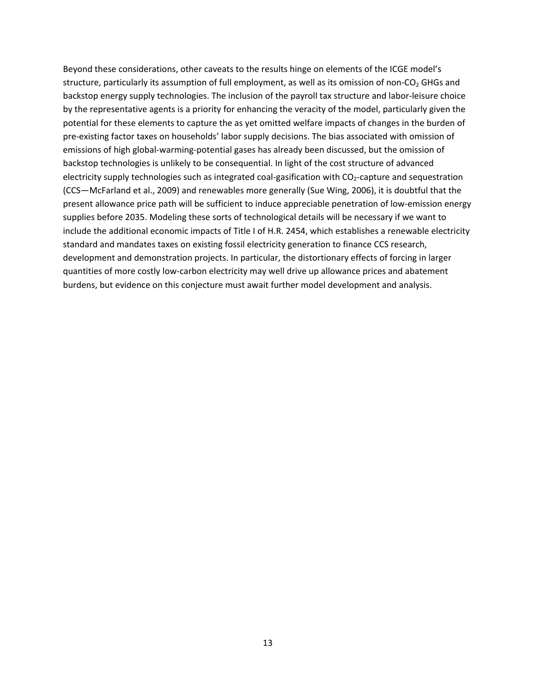Beyond these considerations, other caveats to the results hinge on elements of the ICGE model's structure, particularly its assumption of full employment, as well as its omission of non-CO<sub>2</sub> GHGs and backstop energy supply technologies. The inclusion of the payroll tax structure and labor‐leisure choice by the representative agents is a priority for enhancing the veracity of the model, particularly given the potential for these elements to capture the as yet omitted welfare impacts of changes in the burden of pre‐existing factor taxes on households' labor supply decisions. The bias associated with omission of emissions of high global‐warming‐potential gases has already been discussed, but the omission of backstop technologies is unlikely to be consequential. In light of the cost structure of advanced electricity supply technologies such as integrated coal-gasification with CO<sub>2</sub>-capture and sequestration (CCS—McFarland et al., 2009) and renewables more generally (Sue Wing, 2006), it is doubtful that the present allowance price path will be sufficient to induce appreciable penetration of low‐emission energy supplies before 2035. Modeling these sorts of technological details will be necessary if we want to include the additional economic impacts of Title I of H.R. 2454, which establishes a renewable electricity standard and mandates taxes on existing fossil electricity generation to finance CCS research, development and demonstration projects. In particular, the distortionary effects of forcing in larger quantities of more costly low‐carbon electricity may well drive up allowance prices and abatement burdens, but evidence on this conjecture must await further model development and analysis.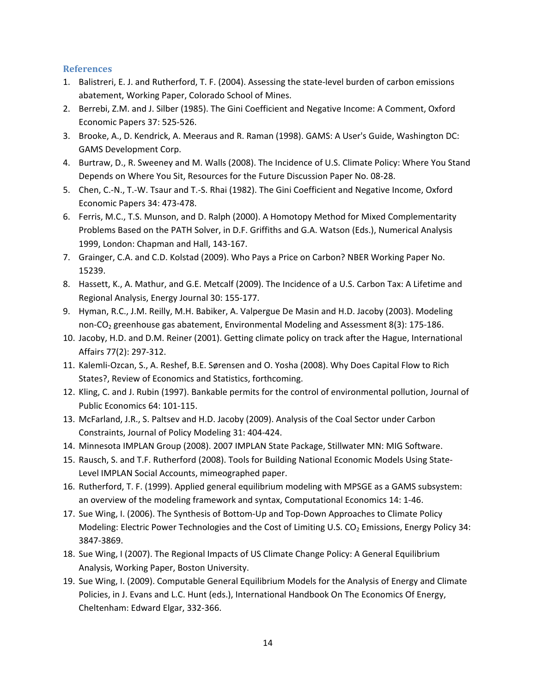## **References**

- 1. Balistreri, E. J. and Rutherford, T. F. (2004). Assessing the state‐level burden of carbon emissions abatement, Working Paper, Colorado School of Mines.
- 2. Berrebi, Z.M. and J. Silber (1985). The Gini Coefficient and Negative Income: A Comment, Oxford Economic Papers 37: 525‐526.
- 3. Brooke, A., D. Kendrick, A. Meeraus and R. Raman (1998). GAMS: A User's Guide, Washington DC: GAMS Development Corp.
- 4. Burtraw, D., R. Sweeney and M. Walls (2008). The Incidence of U.S. Climate Policy: Where You Stand Depends on Where You Sit, Resources for the Future Discussion Paper No. 08‐28.
- 5. Chen, C.-N., T.-W. Tsaur and T.-S. Rhai (1982). The Gini Coefficient and Negative Income, Oxford Economic Papers 34: 473‐478.
- 6. Ferris, M.C., T.S. Munson, and D. Ralph (2000). A Homotopy Method for Mixed Complementarity Problems Based on the PATH Solver, in D.F. Griffiths and G.A. Watson (Eds.), Numerical Analysis 1999, London: Chapman and Hall, 143‐167.
- 7. Grainger, C.A. and C.D. Kolstad (2009). Who Pays a Price on Carbon? NBER Working Paper No. 15239.
- 8. Hassett, K., A. Mathur, and G.E. Metcalf (2009). The Incidence of a U.S. Carbon Tax: A Lifetime and Regional Analysis, Energy Journal 30: 155‐177.
- 9. Hyman, R.C., J.M. Reilly, M.H. Babiker, A. Valpergue De Masin and H.D. Jacoby (2003). Modeling non‐CO<sub>2</sub> greenhouse gas abatement, Environmental Modeling and Assessment 8(3): 175‐186.
- 10. Jacoby, H.D. and D.M. Reiner (2001). Getting climate policy on track after the Hague, International Affairs 77(2): 297‐312.
- 11. Kalemli‐Ozcan, S., A. Reshef, B.E. Sørensen and O. Yosha (2008). Why Does Capital Flow to Rich States?, Review of Economics and Statistics, forthcoming.
- 12. Kling, C. and J. Rubin (1997). Bankable permits for the control of environmental pollution, Journal of Public Economics 64: 101‐115.
- 13. McFarland, J.R., S. Paltsev and H.D. Jacoby (2009). Analysis of the Coal Sector under Carbon Constraints, Journal of Policy Modeling 31: 404‐424.
- 14. Minnesota IMPLAN Group (2008). 2007 IMPLAN State Package, Stillwater MN: MIG Software.
- 15. Rausch, S. and T.F. Rutherford (2008). Tools for Building National Economic Models Using State‐ Level IMPLAN Social Accounts, mimeographed paper.
- 16. Rutherford, T. F. (1999). Applied general equilibrium modeling with MPSGE as a GAMS subsystem: an overview of the modeling framework and syntax, Computational Economics 14: 1‐46.
- 17. Sue Wing, I. (2006). The Synthesis of Bottom‐Up and Top‐Down Approaches to Climate Policy Modeling: Electric Power Technologies and the Cost of Limiting U.S.  $CO<sub>2</sub>$  Emissions, Energy Policy 34: 3847‐3869.
- 18. Sue Wing, I (2007). The Regional Impacts of US Climate Change Policy: A General Equilibrium Analysis, Working Paper, Boston University.
- 19. Sue Wing, I. (2009). Computable General Equilibrium Models for the Analysis of Energy and Climate Policies, in J. Evans and L.C. Hunt (eds.), International Handbook On The Economics Of Energy, Cheltenham: Edward Elgar, 332‐366.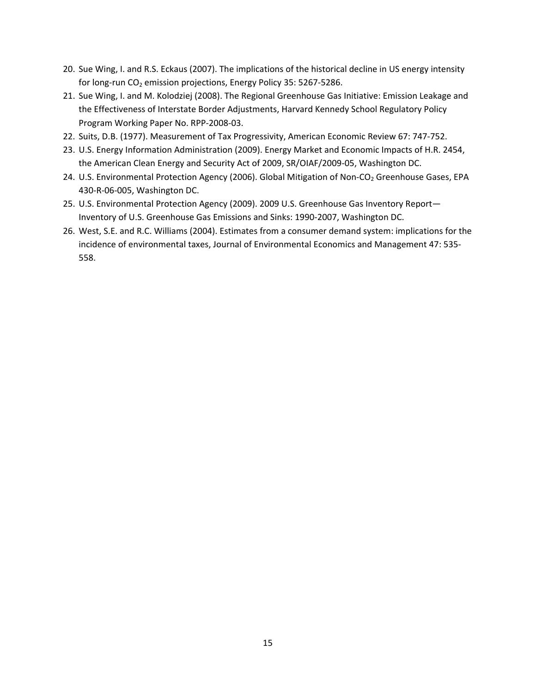- 20. Sue Wing, I. and R.S. Eckaus (2007). The implications of the historical decline in US energy intensity for long-run CO<sub>2</sub> emission projections, Energy Policy 35: 5267-5286.
- 21. Sue Wing, I. and M. Kolodziej (2008). The Regional Greenhouse Gas Initiative: Emission Leakage and the Effectiveness of Interstate Border Adjustments, Harvard Kennedy School Regulatory Policy Program Working Paper No. RPP‐2008‐03.
- 22. Suits, D.B. (1977). Measurement of Tax Progressivity, American Economic Review 67: 747‐752.
- 23. U.S. Energy Information Administration (2009). Energy Market and Economic Impacts of H.R. 2454, the American Clean Energy and Security Act of 2009, SR/OIAF/2009‐05, Washington DC.
- 24. U.S. Environmental Protection Agency (2006). Global Mitigation of Non-CO<sub>2</sub> Greenhouse Gases, EPA 430‐R‐06‐005, Washington DC.
- 25. U.S. Environmental Protection Agency (2009). 2009 U.S. Greenhouse Gas Inventory Report— Inventory of U.S. Greenhouse Gas Emissions and Sinks: 1990‐2007, Washington DC.
- 26. West, S.E. and R.C. Williams (2004). Estimates from a consumer demand system: implications for the incidence of environmental taxes, Journal of Environmental Economics and Management 47: 535‐ 558.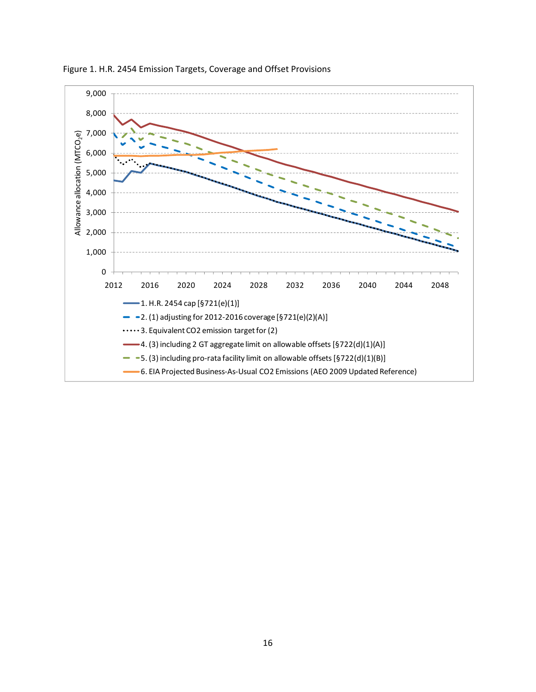

Figure 1. H.R. 2454 Emission Targets, Coverage and Offset Provisions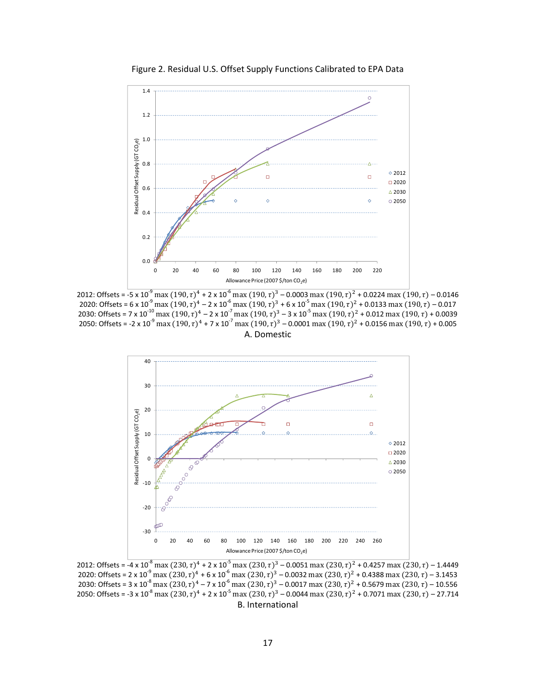

Figure 2. Residual U.S. Offset Supply Functions Calibrated to EPA Data

2012: Offsets = -5 x 10<sup>-9</sup> max (190,  $\tau$ )<sup>4</sup> + 2 x 10<sup>-6</sup> max (190,  $\tau$ )<sup>3</sup> – 0.0003 max (190,  $\tau$ )<sup>2</sup> + 0.0224 max (190,  $\tau$ ) – 0.0146 2020: Offsets = 6 x 10<sup>-9</sup> max (190,  $\tau$ )<sup>4</sup> – 2 x 10<sup>-6</sup> max (190,  $\tau$ )<sup>3</sup> + 6 x 10<sup>-5</sup> max (190,  $\tau$ )<sup>2</sup> + 0.0133 max (190,  $\tau$ ) – 0.017 2030: Offsets = 7 x 10<sup>-10</sup> max (190,  $\tau$ )<sup>4</sup> – 2 x 10<sup>-7</sup> max (190,  $\tau$ )<sup>3</sup> – 3 x 10<sup>-5</sup> max (190,  $\tau$ )<sup>2</sup> + 0.012 max (190,  $\tau$ ) + 0.0039 2050: Offsets = -2 x 10<sup>-9</sup> max  $(190,\tau)^4$  + 7 x 10<sup>-7</sup> max  $(190,\tau)^3$  – 0.0001 max  $(190,\tau)^2$  + 0.0156 max  $(190,\tau)$  + 0.005 A. Domestic



2012: Offsets =  $-4 \times 10^{-8}$  max  $(230, \tau)^4 + 2 \times 10^{-5}$  max  $(230, \tau)^3 - 0.0051$  max  $(230, \tau)^2 + 0.4257$  max  $(230, \tau) - 1.4449$ 2020: Offsets = 2 x 10<sup>-9</sup> max  $(230, \tau)^4$  + 6 x 10<sup>-6</sup> max  $(230, \tau)^3$  – 0.0032 max  $(230, \tau)^2$  + 0.4388 max  $(230, \tau)$  – 3.1453 2030: Offsets = 3 x 10<sup>-8</sup> max (230,  $\tau$ )<sup>4</sup> – 7 x 10<sup>-6</sup> max (230,  $\tau$ )<sup>3</sup> – 0.0017 max (230,  $\tau$ )<sup>2</sup> + 0.5679 max (230,  $\tau$ ) – 10.556 2050: Offsets = -3 x 10<sup>-8</sup> max (230,  $\tau$ )<sup>4</sup> + 2 x 10<sup>-5</sup> max (230,  $\tau$ )<sup>3</sup> – 0.0044 max (230,  $\tau$ )<sup>2</sup> + 0.7071 max (230,  $\tau$ ) – 27.714 B. International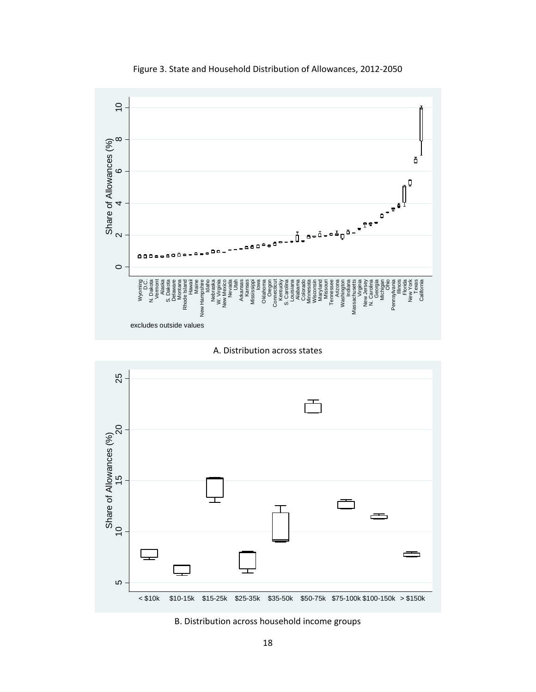

Figure 3. State and Household Distribution of Allowances, 2012‐2050

A. Distribution across states



B. Distribution across household income groups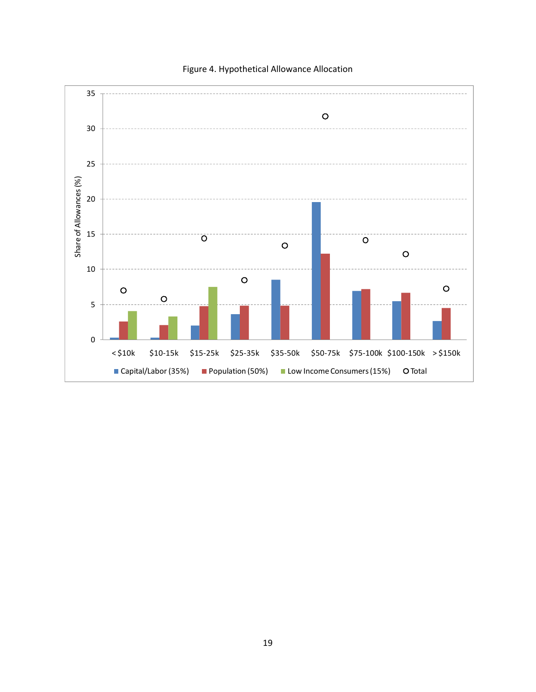

## Figure 4. Hypothetical Allowance Allocation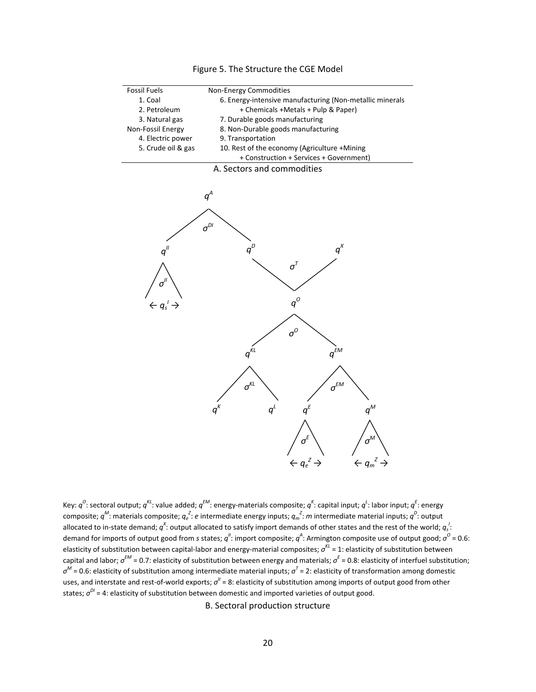

Key:  $q^C$ : sectoral output;  $q^{KL}$ : value added;  $q^{EM}$ : energy-materials composite;  $q^K$ : capital input;  $q^L$ : labor input;  $q^E$ : energy composite;  $q^M$ : materials composite;  $q_e^Z$ :  $e$  intermediate energy inputs;  $q_m^Z$ : *m* intermediate material inputs;  $q^D$ : output allocated to in-state demand;  $q^x$ : output allocated to satisfy import demands of other states and the rest of the world;  $q_s^{\;l}$ : demand for imports of output good from *s* states; *q*<sup>"</sup>: import composite; *q*<sup>4</sup>: Armington composite use of output good; *σ*<sup>0</sup> = 0.6: elasticity of substitution between capital‐labor and energy‐material composites; *σKL* = 1: elasticity of substitution between capital and labor; *σEM* = 0.7: elasticity of substitution between energy and materials; *σ<sup>E</sup>* = 0.8: elasticity of interfuel substitution; *σ<sup>M</sup>* = 0.6: elasticity of substitution among intermediate material inputs; *σ<sup>T</sup>* = 2: elasticity of transformation among domestic uses, and interstate and rest-of-world exports;  $σ'' = 8$ : elasticity of substitution among imports of output good from other states;  $σ<sup>DI</sup> = 4$ : elasticity of substitution between domestic and imported varieties of output good.

B. Sectoral production structure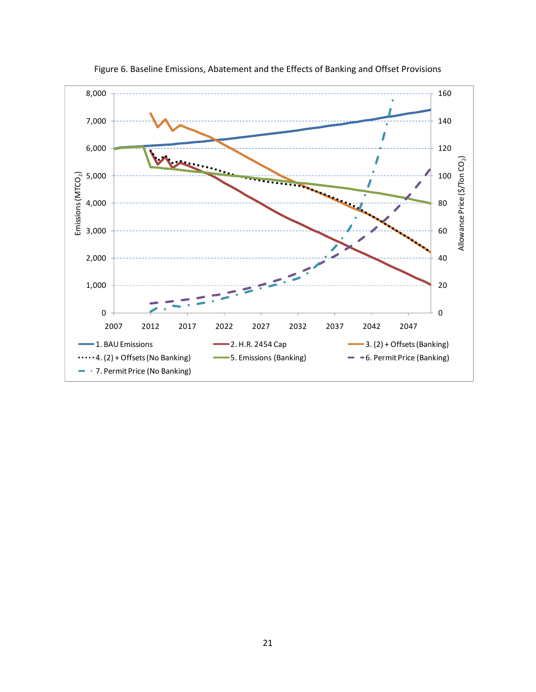

Figure 6. Baseline Emissions, Abatement and the Effects of Banking and Offset Provisions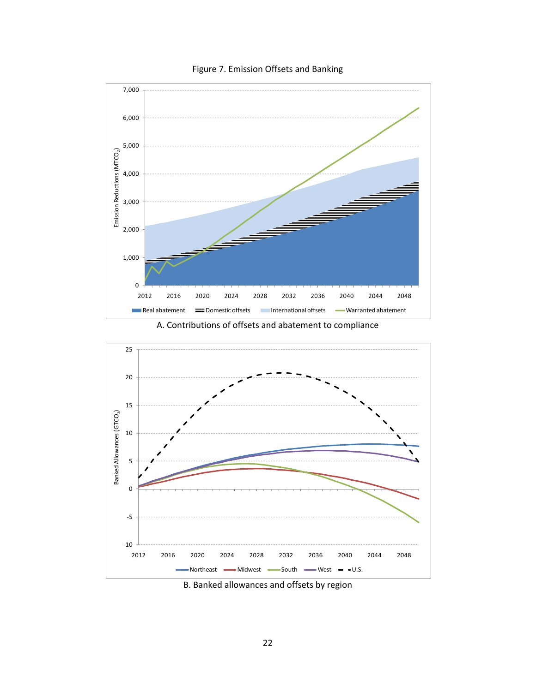

## Figure 7. Emission Offsets and Banking



A. Contributions of offsets and abatement to compliance

B. Banked allowances and offsets by region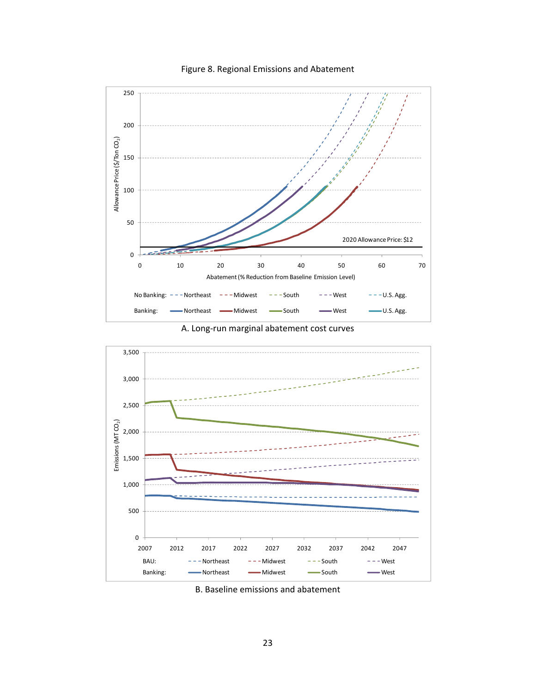

## Figure 8. Regional Emissions and Abatement

A. Long‐run marginal abatement cost curves



B. Baseline emissions and abatement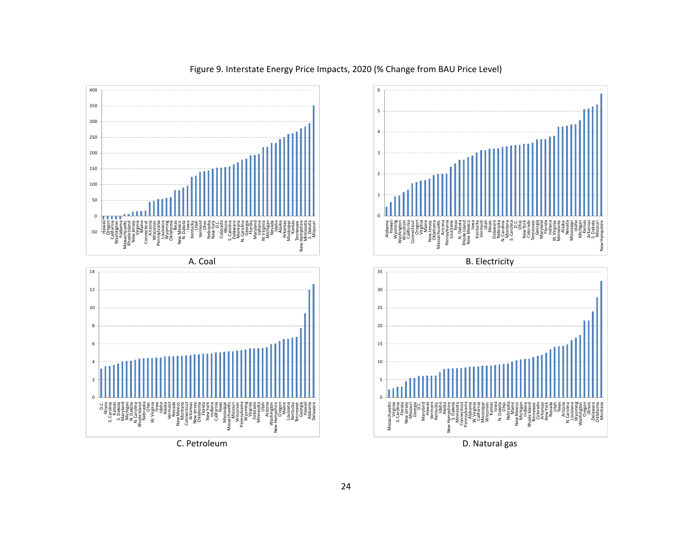

## Figure 9. Interstate Energy Price Impacts, 2020 (% Change from BAU Price Level)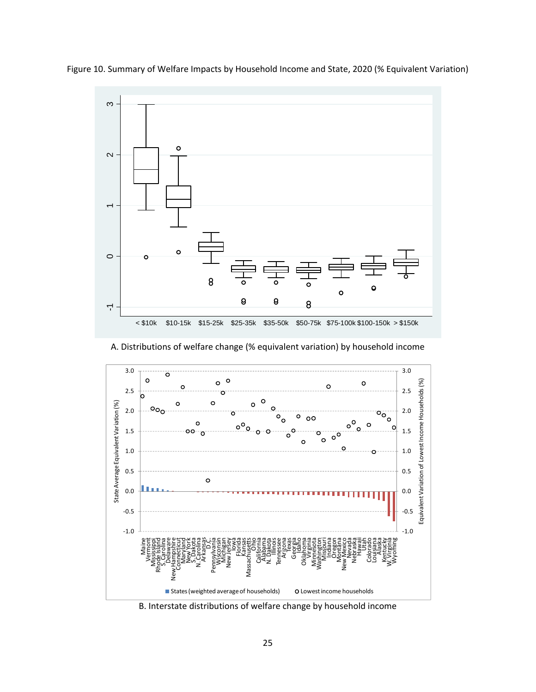

Figure 10. Summary of Welfare Impacts by Household Income and State, 2020 (% Equivalent Variation)

A. Distributions of welfare change (% equivalent variation) by household income



B. Interstate distributions of welfare change by household income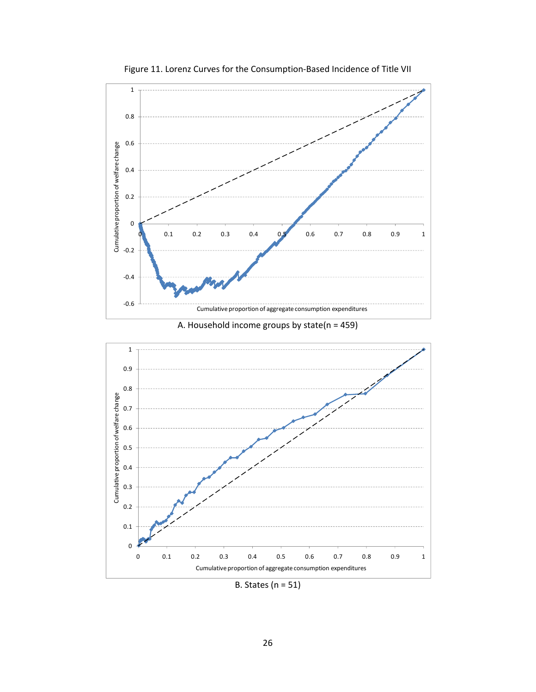

Figure 11. Lorenz Curves for the Consumption‐Based Incidence of Title VII



B. States (n = 51)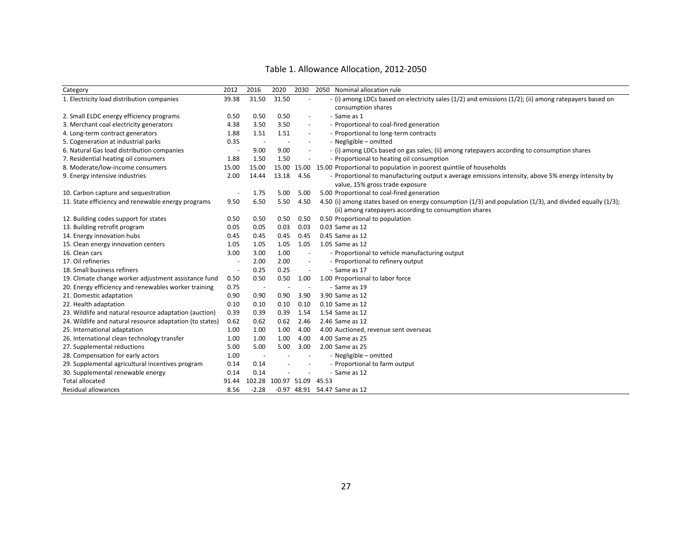| Category                                                 | 2012                     | 2016                     | 2020                     | 2030                     | 2050 Nominal allocation rule                                                                                     |
|----------------------------------------------------------|--------------------------|--------------------------|--------------------------|--------------------------|------------------------------------------------------------------------------------------------------------------|
| 1. Electricity load distribution companies               | 39.38                    | 31.50                    | 31.50                    |                          | - (i) among LDCs based on electricity sales (1/2) and emissions (1/2); (ii) among ratepayers based on            |
|                                                          |                          |                          |                          |                          | consumption shares                                                                                               |
| 2. Small ELDC energy efficiency programs                 | 0.50                     | 0.50                     | 0.50                     | $\blacksquare$           | - Same as 1                                                                                                      |
| 3. Merchant coal electricity generators                  | 4.38                     | 3.50                     | 3.50                     | $\sim$                   | - Proportional to coal-fired generation                                                                          |
| 4. Long-term contract generators                         | 1.88                     | 1.51                     | 1.51                     | $\overline{\phantom{a}}$ | - Proportional to long-term contracts                                                                            |
| 5. Cogeneration at industrial parks                      | 0.35                     | $\overline{\phantom{a}}$ | $\overline{\phantom{a}}$ | $\overline{\phantom{a}}$ | - Negligible - omitted                                                                                           |
| 6. Natural Gas load distribution companies               |                          | 9.00                     | 9.00                     | $\overline{\phantom{a}}$ | - (i) among LDCs based on gas sales; (ii) among ratepayers according to consumption shares                       |
| 7. Residential heating oil consumers                     | 1.88                     | 1.50                     | 1.50                     | $\overline{\phantom{a}}$ | - Proportional to heating oil consumption                                                                        |
| 8. Moderate/low-income consumers                         | 15.00                    | 15.00                    | 15.00                    |                          | 15.00 15.00 Proportional to population in poorest quintile of households                                         |
| 9. Energy intensive industries                           | 2.00                     | 14.44                    | 13.18                    | 4.56                     | - Proportional to manufacturing output x average emissions intensity, above 5% energy intensity by               |
|                                                          |                          |                          |                          |                          | value, 15% gross trade exposure                                                                                  |
| 10. Carbon capture and sequestration                     |                          | 1.75                     | 5.00                     | 5.00                     | 5.00 Proportional to coal-fired generation                                                                       |
| 11. State efficiency and renewable energy programs       | 9.50                     | 6.50                     | 5.50                     | 4.50                     | 4.50 (i) among states based on energy consumption $(1/3)$ and population $(1/3)$ , and divided equally $(1/3)$ ; |
|                                                          |                          |                          |                          |                          | (ii) among ratepayers according to consumption shares                                                            |
| 12. Building codes support for states                    | 0.50                     | 0.50                     | 0.50                     | 0.50                     | 0.50 Proportional to population                                                                                  |
| 13. Building retrofit program                            | 0.05                     | 0.05                     | 0.03                     | 0.03                     | 0.03 Same as 12                                                                                                  |
| 14. Energy innovation hubs                               | 0.45                     | 0.45                     | 0.45                     | 0.45                     | 0.45 Same as 12                                                                                                  |
| 15. Clean energy innovation centers                      | 1.05                     | 1.05                     | 1.05                     | 1.05                     | 1.05 Same as 12                                                                                                  |
| 16. Clean cars                                           | 3.00                     | 3.00                     | 1.00                     | $\blacksquare$           | - Proportional to vehicle manufacturing output                                                                   |
| 17. Oil refineries                                       | $\sim$                   | 2.00                     | 2.00                     | $\blacksquare$           | - Proportional to refinery output                                                                                |
| 18. Small business refiners                              | $\overline{\phantom{a}}$ | 0.25                     | 0.25                     | $\sim$                   | - Same as 17                                                                                                     |
| 19. Climate change worker adjustment assistance fund     | 0.50                     | 0.50                     | 0.50                     | 1.00                     | 1.00 Proportional to labor force                                                                                 |
| 20. Energy efficiency and renewables worker training     | 0.75                     | $\sim$                   | $\sim$                   | $\overline{a}$           | - Same as 19                                                                                                     |
| 21. Domestic adaptation                                  | 0.90                     | 0.90                     | 0.90                     | 3.90                     | 3.90 Same as 12                                                                                                  |
| 22. Health adaptation                                    | 0.10                     | 0.10                     | 0.10                     | 0.10                     | 0.10 Same as 12                                                                                                  |
| 23. Wildlife and natural resource adaptation (auction)   | 0.39                     | 0.39                     | 0.39                     | 1.54                     | 1.54 Same as 12                                                                                                  |
| 24. Wildlife and natural resource adaptation (to states) | 0.62                     | 0.62                     | 0.62                     | 2.46                     | 2.46 Same as 12                                                                                                  |
| 25. International adaptation                             | 1.00                     | 1.00                     | 1.00                     | 4.00                     | 4.00 Auctioned, revenue sent overseas                                                                            |
| 26. International clean technology transfer              | 1.00                     | 1.00                     | 1.00                     | 4.00                     | 4.00 Same as 25                                                                                                  |
| 27. Supplemental reductions                              | 5.00                     | 5.00                     | 5.00                     | 3.00                     | 2.00 Same as 25                                                                                                  |
| 28. Compensation for early actors                        | 1.00                     | $\overline{\phantom{a}}$ |                          |                          | - Negligible - omitted                                                                                           |
| 29. Supplemental agricultural incentives program         | 0.14                     | 0.14                     |                          |                          | - Proportional to farm output                                                                                    |
| 30. Supplemental renewable energy                        | 0.14                     | 0.14                     |                          |                          | - Same as 12                                                                                                     |
| <b>Total allocated</b>                                   | 91.44                    | 102.28                   | 100.97 51.09             |                          | 45.53                                                                                                            |
| Residual allowances                                      | 8.56                     | $-2.28$                  |                          |                          | -0.97 48.91 54.47 Same as 12                                                                                     |

#### Table 1. Allowance Allocation, 2012‐2050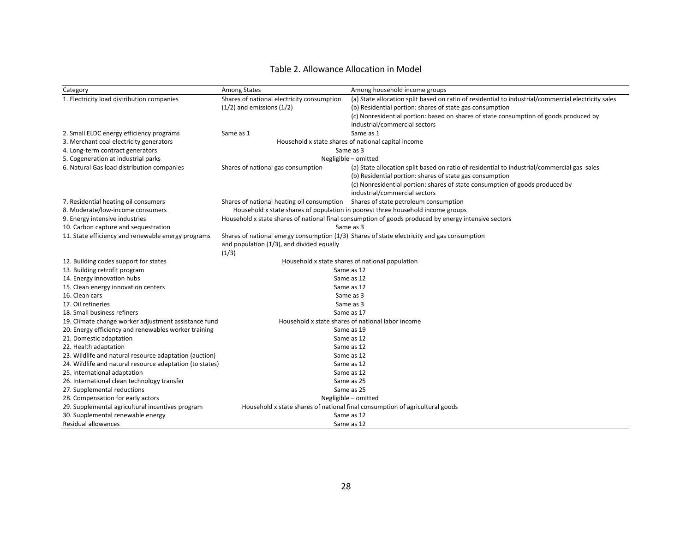#### Table 2. Allowance Allocation in Model

| Category                                                 | Among States                                                                                | Among household income groups                                                                        |  |  |  |  |  |
|----------------------------------------------------------|---------------------------------------------------------------------------------------------|------------------------------------------------------------------------------------------------------|--|--|--|--|--|
| 1. Electricity load distribution companies               | Shares of national electricity consumption                                                  | (a) State allocation split based on ratio of residential to industrial/commercial electricity sales  |  |  |  |  |  |
|                                                          | $(1/2)$ and emissions $(1/2)$                                                               | (b) Residential portion: shares of state gas consumption                                             |  |  |  |  |  |
|                                                          |                                                                                             | (c) Nonresidential portion: based on shares of state consumption of goods produced by                |  |  |  |  |  |
|                                                          |                                                                                             | industrial/commercial sectors                                                                        |  |  |  |  |  |
| 2. Small ELDC energy efficiency programs                 | Same as 1                                                                                   | Same as 1                                                                                            |  |  |  |  |  |
| 3. Merchant coal electricity generators                  |                                                                                             | Household x state shares of national capital income                                                  |  |  |  |  |  |
| 4. Long-term contract generators                         |                                                                                             | Same as 3                                                                                            |  |  |  |  |  |
| 5. Cogeneration at industrial parks                      |                                                                                             | Negligible - omitted                                                                                 |  |  |  |  |  |
| 6. Natural Gas load distribution companies               | Shares of national gas consumption                                                          | (a) State allocation split based on ratio of residential to industrial/commercial gas sales          |  |  |  |  |  |
|                                                          |                                                                                             | (b) Residential portion: shares of state gas consumption                                             |  |  |  |  |  |
|                                                          |                                                                                             | (c) Nonresidential portion: shares of state consumption of goods produced by                         |  |  |  |  |  |
|                                                          |                                                                                             | industrial/commercial sectors                                                                        |  |  |  |  |  |
| 7. Residential heating oil consumers                     | Shares of national heating oil consumption Shares of state petroleum consumption            |                                                                                                      |  |  |  |  |  |
| 8. Moderate/low-income consumers                         |                                                                                             | Household x state shares of population in poorest three household income groups                      |  |  |  |  |  |
| 9. Energy intensive industries                           |                                                                                             | Household x state shares of national final consumption of goods produced by energy intensive sectors |  |  |  |  |  |
| 10. Carbon capture and sequestration                     |                                                                                             | Same as 3                                                                                            |  |  |  |  |  |
| 11. State efficiency and renewable energy programs       | Shares of national energy consumption (1/3) Shares of state electricity and gas consumption |                                                                                                      |  |  |  |  |  |
|                                                          | and population (1/3), and divided equally                                                   |                                                                                                      |  |  |  |  |  |
|                                                          | (1/3)                                                                                       |                                                                                                      |  |  |  |  |  |
| 12. Building codes support for states                    |                                                                                             | Household x state shares of national population                                                      |  |  |  |  |  |
| 13. Building retrofit program                            |                                                                                             | Same as 12                                                                                           |  |  |  |  |  |
| 14. Energy innovation hubs                               |                                                                                             | Same as 12                                                                                           |  |  |  |  |  |
| 15. Clean energy innovation centers                      |                                                                                             | Same as 12                                                                                           |  |  |  |  |  |
| 16. Clean cars                                           |                                                                                             | Same as 3                                                                                            |  |  |  |  |  |
| 17. Oil refineries                                       |                                                                                             | Same as 3                                                                                            |  |  |  |  |  |
| 18. Small business refiners                              |                                                                                             | Same as 17                                                                                           |  |  |  |  |  |
| 19. Climate change worker adjustment assistance fund     |                                                                                             | Household x state shares of national labor income                                                    |  |  |  |  |  |
| 20. Energy efficiency and renewables worker training     |                                                                                             | Same as 19                                                                                           |  |  |  |  |  |
| 21. Domestic adaptation                                  |                                                                                             | Same as 12                                                                                           |  |  |  |  |  |
| 22. Health adaptation                                    |                                                                                             | Same as 12                                                                                           |  |  |  |  |  |
| 23. Wildlife and natural resource adaptation (auction)   |                                                                                             | Same as 12                                                                                           |  |  |  |  |  |
| 24. Wildlife and natural resource adaptation (to states) |                                                                                             | Same as 12                                                                                           |  |  |  |  |  |
| 25. International adaptation                             |                                                                                             | Same as 12                                                                                           |  |  |  |  |  |
| 26. International clean technology transfer              |                                                                                             | Same as 25                                                                                           |  |  |  |  |  |
| 27. Supplemental reductions                              |                                                                                             | Same as 25                                                                                           |  |  |  |  |  |
| 28. Compensation for early actors                        |                                                                                             | Negligible - omitted                                                                                 |  |  |  |  |  |
| 29. Supplemental agricultural incentives program         |                                                                                             | Household x state shares of national final consumption of agricultural goods                         |  |  |  |  |  |
| 30. Supplemental renewable energy                        |                                                                                             | Same as 12                                                                                           |  |  |  |  |  |
| Residual allowances                                      |                                                                                             | Same as 12                                                                                           |  |  |  |  |  |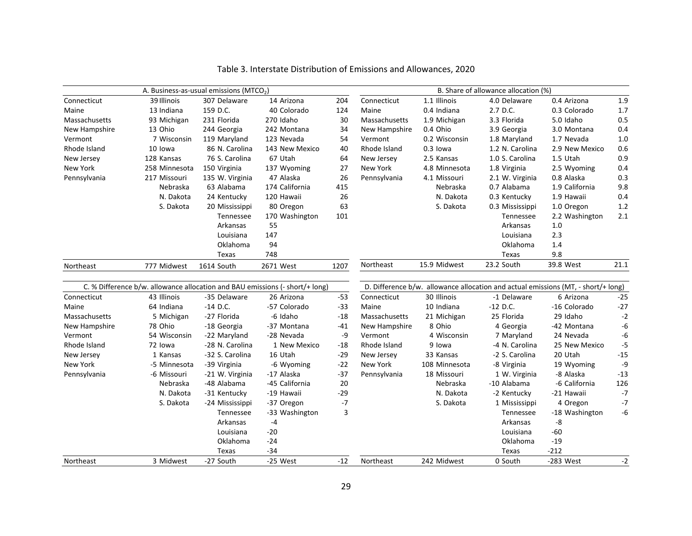|               | B. Share of allowance allocation (%)<br>A. Business-as-usual emissions (MTCO <sub>2</sub> ) |                 |                                                                                 |       |               |               |                 |                                                                                   |       |
|---------------|---------------------------------------------------------------------------------------------|-----------------|---------------------------------------------------------------------------------|-------|---------------|---------------|-----------------|-----------------------------------------------------------------------------------|-------|
| Connecticut   | 39 Illinois                                                                                 | 307 Delaware    | 14 Arizona                                                                      | 204   | Connecticut   | 1.1 Illinois  | 4.0 Delaware    | 0.4 Arizona                                                                       | 1.9   |
| Maine         | 13 Indiana                                                                                  | 159 D.C.        | 40 Colorado                                                                     | 124   | Maine         | 0.4 Indiana   | 2.7 D.C.        | 0.3 Colorado                                                                      | 1.7   |
| Massachusetts | 93 Michigan                                                                                 | 231 Florida     | 270 Idaho                                                                       | 30    | Massachusetts | 1.9 Michigan  | 3.3 Florida     | 5.0 Idaho                                                                         | 0.5   |
| New Hampshire | 13 Ohio                                                                                     | 244 Georgia     | 242 Montana                                                                     | 34    | New Hampshire | 0.4 Ohio      | 3.9 Georgia     | 3.0 Montana                                                                       | 0.4   |
| Vermont       | 7 Wisconsin                                                                                 | 119 Maryland    | 123 Nevada                                                                      | 54    | Vermont       | 0.2 Wisconsin | 1.8 Maryland    | 1.7 Nevada                                                                        | $1.0$ |
| Rhode Island  | 10 lowa                                                                                     | 86 N. Carolina  | 143 New Mexico                                                                  | 40    | Rhode Island  | $0.3$ lowa    | 1.2 N. Carolina | 2.9 New Mexico                                                                    | 0.6   |
| New Jersey    | 128 Kansas                                                                                  | 76 S. Carolina  | 67 Utah                                                                         | 64    | New Jersey    | 2.5 Kansas    | 1.0 S. Carolina | 1.5 Utah                                                                          | 0.9   |
| New York      | 258 Minnesota                                                                               | 150 Virginia    | 137 Wyoming                                                                     | 27    | New York      | 4.8 Minnesota | 1.8 Virginia    | 2.5 Wyoming                                                                       | 0.4   |
| Pennsylvania  | 217 Missouri                                                                                | 135 W. Virginia | 47 Alaska                                                                       | 26    | Pennsylvania  | 4.1 Missouri  | 2.1 W. Virginia | 0.8 Alaska                                                                        | 0.3   |
|               | Nebraska                                                                                    | 63 Alabama      | 174 California                                                                  | 415   |               | Nebraska      | 0.7 Alabama     | 1.9 California                                                                    | 9.8   |
|               | N. Dakota                                                                                   | 24 Kentucky     | 120 Hawaii                                                                      | 26    |               | N. Dakota     | 0.3 Kentucky    | 1.9 Hawaii                                                                        | 0.4   |
|               | S. Dakota                                                                                   | 20 Mississippi  | 80 Oregon                                                                       | 63    |               | S. Dakota     | 0.3 Mississippi | 1.0 Oregon                                                                        | 1.2   |
|               |                                                                                             | Tennessee       | 170 Washington                                                                  | 101   |               |               | Tennessee       | 2.2 Washington                                                                    | 2.1   |
|               |                                                                                             | Arkansas        | 55                                                                              |       |               |               | Arkansas        | 1.0                                                                               |       |
|               |                                                                                             | Louisiana       | 147                                                                             |       |               |               | Louisiana       | 2.3                                                                               |       |
|               |                                                                                             | Oklahoma        | 94                                                                              |       |               |               | Oklahoma        | 1.4                                                                               |       |
|               |                                                                                             | Texas           | 748                                                                             |       |               |               | Texas           | 9.8                                                                               |       |
| Northeast     | 777 Midwest                                                                                 | 1614 South      | 2671 West                                                                       | 1207  | Northeast     | 15.9 Midwest  | 23.2 South      | 39.8 West                                                                         | 21.1  |
|               |                                                                                             |                 | C. % Difference $b/w$ . allowance allocation and BAU emissions (- short/+ long) |       |               |               |                 | D. Difference b/w. allowance allocation and actual emissions (MT, - short/+ long) |       |
| Connecticut   | 43 Illinois                                                                                 | -35 Delaware    | 26 Arizona                                                                      | $-53$ | Connecticut   | 30 Illinois   | -1 Delaware     | 6 Arizona                                                                         | $-25$ |
| Maine         | 64 Indiana                                                                                  | $-14$ D.C.      | -57 Colorado                                                                    | $-33$ | Maine         | 10 Indiana    | $-12$ D.C.      | -16 Colorado                                                                      | $-27$ |
| Massachusetts | 5 Michigan                                                                                  | -27 Florida     | -6 Idaho                                                                        | -18   | Massachusetts | 21 Michigan   | 25 Florida      | 29 Idaho                                                                          | $-2$  |
| New Hampshire | 78 Ohio                                                                                     | -18 Georgia     | -37 Montana                                                                     | -41   | New Hampshire | 8 Ohio        | 4 Georgia       | -42 Montana                                                                       | -6    |
| Vermont       | 54 Wisconsin                                                                                | -22 Maryland    | -28 Nevada                                                                      | -9    | Vermont       | 4 Wisconsin   | 7 Maryland      | 24 Nevada                                                                         | -6    |
| Rhode Island  | 72 lowa                                                                                     | -28 N. Carolina | 1 New Mexico                                                                    | -18   | Rhode Island  | 9 lowa        | -4 N. Carolina  | 25 New Mexico                                                                     | $-5$  |
| New Jersey    | 1 Kansas                                                                                    | -32 S. Carolina | 16 Utah                                                                         | $-29$ | New Jersey    | 33 Kansas     | -2 S. Carolina  | 20 Utah                                                                           | $-15$ |
| New York      | -5 Minnesota                                                                                | -39 Virginia    | -6 Wyoming                                                                      | $-22$ | New York      | 108 Minnesota | -8 Virginia     | 19 Wyoming                                                                        | -9    |
| Pennsylvania  | -6 Missouri                                                                                 | -21 W. Virginia | -17 Alaska                                                                      | $-37$ | Pennsylvania  | 18 Missouri   | 1 W. Virginia   | -8 Alaska                                                                         | $-13$ |
|               | Nebraska                                                                                    | -48 Alabama     | -45 California                                                                  | 20    |               | Nebraska      | -10 Alabama     | -6 California                                                                     | 126   |
|               | N. Dakota                                                                                   | -31 Kentucky    | -19 Hawaii                                                                      | $-29$ |               | N. Dakota     | -2 Kentucky     | -21 Hawaii                                                                        | $-7$  |
|               | S. Dakota                                                                                   | -24 Mississippi | -37 Oregon                                                                      | $-7$  |               | S. Dakota     | 1 Mississippi   | 4 Oregon                                                                          | $-7$  |
|               |                                                                                             | Tennessee       | -33 Washington                                                                  | 3     |               |               | Tennessee       | -18 Washington                                                                    | -6    |
|               |                                                                                             | Arkansas        | -4                                                                              |       |               |               | Arkansas        | -8                                                                                |       |
|               |                                                                                             | Louisiana       | $-20$                                                                           |       |               |               | Louisiana       | $-60$                                                                             |       |
|               |                                                                                             | Oklahoma        | $-24$                                                                           |       |               |               | Oklahoma        | $-19$                                                                             |       |
|               |                                                                                             | Texas           | $-34$                                                                           |       |               |               | Texas           | $-212$                                                                            |       |
| Northeast     | 3 Midwest                                                                                   | -27 South       | -25 West                                                                        | $-12$ | Northeast     | 242 Midwest   | 0 South         | -283 West                                                                         | $-2$  |

Table 3. Interstate Distribution of Emissions and Allowances, 2020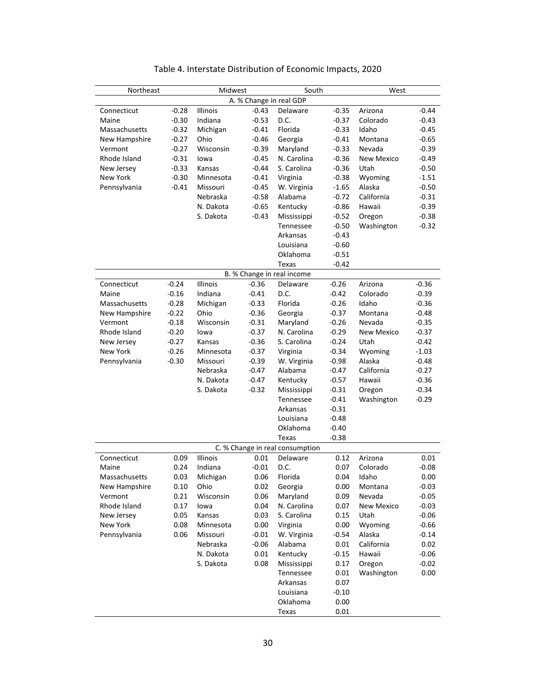| Northeast       |         | Midwest      |                                    | South                           |         | West              |         |  |  |
|-----------------|---------|--------------|------------------------------------|---------------------------------|---------|-------------------|---------|--|--|
| Connecticut     | $-0.28$ | Illinois     | A. % Change in real GDP<br>$-0.43$ | Delaware                        | $-0.35$ | Arizona           | $-0.44$ |  |  |
| Maine           | $-0.30$ | Indiana      | $-0.53$                            | D.C.                            | $-0.37$ | Colorado          | $-0.43$ |  |  |
| Massachusetts   | $-0.32$ | Michigan     | $-0.41$                            | Florida                         | $-0.33$ | Idaho             | $-0.45$ |  |  |
| New Hampshire   | $-0.27$ | Ohio         | $-0.46$                            | Georgia                         | $-0.41$ | Montana           | $-0.65$ |  |  |
| Vermont         | $-0.27$ | Wisconsin    | $-0.39$                            | Maryland                        | $-0.33$ | Nevada            | $-0.39$ |  |  |
| Rhode Island    | $-0.31$ | lowa         | $-0.45$                            | N. Carolina                     | $-0.36$ | <b>New Mexico</b> | $-0.49$ |  |  |
| New Jersey      | $-0.33$ | Kansas       | $-0.44$                            | S. Carolina                     | $-0.36$ | Utah              | $-0.50$ |  |  |
| <b>New York</b> | $-0.30$ | Minnesota    | $-0.41$                            | Virginia                        | $-0.38$ | Wyoming           | $-1.51$ |  |  |
| Pennsylvania    | $-0.41$ | Missouri     | $-0.45$                            | W. Virginia                     | $-1.65$ | Alaska            | $-0.50$ |  |  |
|                 |         | Nebraska     | $-0.58$                            | Alabama                         | $-0.72$ | California        | $-0.31$ |  |  |
|                 |         | N. Dakota    | $-0.65$                            | Kentucky                        | $-0.86$ | Hawaii            | $-0.39$ |  |  |
|                 |         | S. Dakota    | $-0.43$                            | Mississippi                     | $-0.52$ | Oregon            | $-0.38$ |  |  |
|                 |         |              |                                    | Tennessee                       | $-0.50$ | Washington        | $-0.32$ |  |  |
|                 |         |              |                                    | Arkansas                        | $-0.43$ |                   |         |  |  |
|                 |         |              |                                    | Louisiana                       | $-0.60$ |                   |         |  |  |
|                 |         |              |                                    | Oklahoma                        | $-0.51$ |                   |         |  |  |
|                 |         |              |                                    | Texas                           | $-0.42$ |                   |         |  |  |
|                 |         |              |                                    | B. % Change in real income      |         |                   |         |  |  |
| Connecticut     | $-0.24$ | Illinois     | $-0.36$                            | Delaware                        | $-0.26$ | Arizona           | $-0.36$ |  |  |
| Maine           | $-0.16$ | Indiana      | $-0.41$                            | D.C.                            | $-0.42$ | Colorado          | $-0.39$ |  |  |
| Massachusetts   | $-0.28$ | Michigan     | $-0.33$                            | Florida                         | $-0.26$ | Idaho             | $-0.36$ |  |  |
| New Hampshire   | $-0.22$ | Ohio         | $-0.36$                            | Georgia                         | $-0.37$ | Montana           | $-0.48$ |  |  |
| Vermont         | $-0.18$ | Wisconsin    | $-0.31$                            | Maryland                        | $-0.26$ | Nevada            | $-0.35$ |  |  |
| Rhode Island    | $-0.20$ | lowa         | $-0.37$                            | N. Carolina                     | $-0.29$ | <b>New Mexico</b> | $-0.37$ |  |  |
| New Jersey      | $-0.27$ | Kansas       | $-0.36$                            | S. Carolina                     | $-0.24$ | Utah              | $-0.42$ |  |  |
| <b>New York</b> | $-0.26$ | Minnesota    | $-0.37$                            | Virginia                        | $-0.34$ | Wyoming           | $-1.03$ |  |  |
| Pennsylvania    | $-0.30$ | Missouri     | $-0.39$                            | W. Virginia                     | $-0.98$ | Alaska            | $-0.48$ |  |  |
|                 |         | Nebraska     | $-0.47$                            | Alabama                         | $-0.47$ | California        | $-0.27$ |  |  |
|                 |         | N. Dakota    | $-0.47$                            | Kentucky                        | $-0.57$ | Hawaii            | $-0.36$ |  |  |
|                 |         | S. Dakota    | $-0.32$                            | Mississippi                     | $-0.31$ | Oregon            | $-0.34$ |  |  |
|                 |         |              |                                    | Tennessee                       | $-0.41$ | Washington        | $-0.29$ |  |  |
|                 |         |              |                                    | Arkansas                        | $-0.31$ |                   |         |  |  |
|                 |         |              |                                    | Louisiana                       | $-0.48$ |                   |         |  |  |
|                 |         |              |                                    | Oklahoma                        | $-0.40$ |                   |         |  |  |
|                 |         |              |                                    | Texas                           | $-0.38$ |                   |         |  |  |
|                 |         |              |                                    | C. % Change in real consumption |         |                   |         |  |  |
| Connecticut     | 0.09    | Illinois     | 0.01                               | Delaware                        | 0.12    | Arizona           | 0.01    |  |  |
| Maine           |         | 0.24 Indiana | $-0.01$                            | D.C.                            |         | 0.07 Colorado     | $-0.08$ |  |  |
| Massachusetts   | 0.03    | Michigan     | 0.06                               | Florida                         | 0.04    | Idaho             | 0.00    |  |  |
| New Hampshire   | 0.10    | Ohio         | 0.02                               | Georgia                         | 0.00    | Montana           | $-0.03$ |  |  |
| Vermont         | 0.21    | Wisconsin    | 0.06                               | Maryland                        | 0.09    | Nevada            | $-0.05$ |  |  |
| Rhode Island    | 0.17    | lowa         | 0.04                               | N. Carolina                     | 0.07    | New Mexico        | $-0.03$ |  |  |
| New Jersey      | 0.05    | Kansas       | 0.03                               | S. Carolina                     | 0.15    | Utah              | $-0.06$ |  |  |
| New York        | 0.08    | Minnesota    | 0.00                               | Virginia                        | 0.00    | Wyoming           | $-0.66$ |  |  |
| Pennsylvania    | 0.06    | Missouri     | $-0.01$                            | W. Virginia                     | $-0.54$ | Alaska            | $-0.14$ |  |  |
|                 |         | Nebraska     | $-0.06$                            | Alabama                         | 0.01    | California        | 0.02    |  |  |
|                 |         | N. Dakota    | 0.01                               | Kentucky                        | $-0.15$ | Hawaii            | $-0.06$ |  |  |
|                 |         | S. Dakota    | 0.08                               | Mississippi                     | 0.17    | Oregon            | $-0.02$ |  |  |
|                 |         |              |                                    | Tennessee                       | 0.01    | Washington        | 0.00    |  |  |
|                 |         |              |                                    | Arkansas                        | 0.07    |                   |         |  |  |
|                 |         |              |                                    | Louisiana                       | $-0.10$ |                   |         |  |  |
|                 |         |              |                                    | Oklahoma                        | 0.00    |                   |         |  |  |
|                 |         |              |                                    | Texas                           | 0.01    |                   |         |  |  |

| Table 4. Interstate Distribution of Economic Impacts, 2020 |  |  |  |
|------------------------------------------------------------|--|--|--|
|------------------------------------------------------------|--|--|--|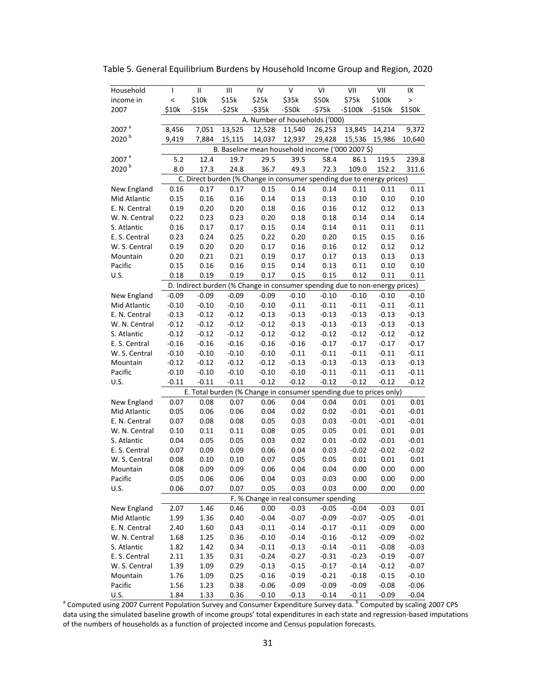| Household              | T                                                                     | $\mathsf{II}$      | Ш                  | IV                 | V                  | VI                                                                            | VII                | VII                | IX                 |  |
|------------------------|-----------------------------------------------------------------------|--------------------|--------------------|--------------------|--------------------|-------------------------------------------------------------------------------|--------------------|--------------------|--------------------|--|
| income in              | $\overline{\phantom{0}}$                                              | \$10k              | \$15k              | \$25k              | \$35k              | \$50k                                                                         | \$75k              | \$100k             | $\mathbf{L}$       |  |
| 2007                   | \$10k                                                                 | $-515k$            | $-525k$            | $-$ \$35 $k$       | $-$ \$50 $k$       | $-575k$                                                                       | $-5100k$           | $-5150k$           | \$150k             |  |
|                        |                                                                       |                    |                    |                    |                    | A. Number of households ('000)                                                |                    |                    |                    |  |
| 2007 <sup>a</sup>      | 8,456                                                                 | 7,051              | 13,525             | 12,528             | 11,540             | 26,253                                                                        | 13,845             | 14,214             | 9,372              |  |
| 2020 <sup>b</sup>      | 9,419                                                                 | 7,884              | 15,115             | 14,037             | 12,937             | 29,428                                                                        | 15,536             | 15,986             | 10,640             |  |
|                        | B. Baseline mean household income ('000 2007 \$)                      |                    |                    |                    |                    |                                                                               |                    |                    |                    |  |
| 2007                   | 5.2                                                                   | 12.4               | 19.7               | 29.5               | 39.5               | 58.4                                                                          | 86.1               | 119.5              | 239.8              |  |
| $\mathfrak{b}$<br>2020 | 8.0                                                                   | 17.3               | 24.8               | 36.7               | 49.3               | 72.3                                                                          | 109.0              | 152.2              | 311.6              |  |
|                        | C. Direct burden (% Change in consumer spending due to energy prices) |                    |                    |                    |                    |                                                                               |                    |                    |                    |  |
| New England            | 0.16                                                                  | 0.17               | 0.17               | 0.15               | 0.14               | 0.14                                                                          | 0.11               | 0.11               | 0.11               |  |
| Mid Atlantic           | 0.15                                                                  | 0.16               | 0.16               | 0.14               | 0.13               | 0.13                                                                          | 0.10               | 0.10               | 0.10               |  |
| E. N. Central          | 0.19                                                                  | 0.20               | 0.20               | 0.18               | 0.16               | 0.16                                                                          | 0.12               | 0.12               | 0.13               |  |
| W. N. Central          | 0.22                                                                  | 0.23               | 0.23               | 0.20               | 0.18               | 0.18                                                                          | 0.14               | 0.14               | 0.14               |  |
| S. Atlantic            | 0.16                                                                  | 0.17               | 0.17               | 0.15               | 0.14               | 0.14                                                                          | 0.11               | 0.11               | 0.11               |  |
| E. S. Central          | 0.23                                                                  | 0.24               | 0.25               | 0.22               | 0.20               | 0.20                                                                          | 0.15               | 0.15               | 0.16               |  |
| W. S. Central          | 0.19                                                                  | 0.20               | 0.20               | 0.17               | 0.16               | 0.16                                                                          | 0.12               | 0.12               | 0.12               |  |
| Mountain               | 0.20                                                                  | 0.21               | 0.21               | 0.19               | 0.17               | 0.17                                                                          |                    |                    | 0.13               |  |
| Pacific                | 0.15                                                                  | 0.16               | 0.16               | 0.15               | 0.14               |                                                                               | 0.13               | 0.13               | 0.10               |  |
|                        | 0.18                                                                  | 0.19               | 0.19               | 0.17               |                    | 0.13<br>0.15                                                                  | 0.11               | 0.10               |                    |  |
| U.S.                   |                                                                       |                    |                    |                    | 0.15               | D. Indirect burden (% Change in consumer spending due to non-energy prices)   | 0.12               | 0.11               | 0.11               |  |
| New England            | $-0.09$                                                               | $-0.09$            | $-0.09$            | $-0.09$            | $-0.10$            | $-0.10$                                                                       | $-0.10$            | $-0.10$            | $-0.10$            |  |
| Mid Atlantic           | $-0.10$                                                               | $-0.10$            | $-0.10$            | $-0.10$            | $-0.11$            | $-0.11$                                                                       | $-0.11$            | $-0.11$            | $-0.11$            |  |
| E. N. Central          | $-0.13$                                                               | $-0.12$            | $-0.12$            | $-0.13$            | $-0.13$            | $-0.13$                                                                       | $-0.13$            | $-0.13$            | $-0.13$            |  |
| W. N. Central          | $-0.12$                                                               | $-0.12$            | $-0.12$            |                    | $-0.13$            |                                                                               | $-0.13$            |                    | $-0.13$            |  |
| S. Atlantic            | $-0.12$                                                               | $-0.12$            | $-0.12$            | $-0.12$<br>$-0.12$ | $-0.12$            | $-0.13$<br>$-0.12$                                                            | $-0.12$            | $-0.13$<br>$-0.12$ | $-0.12$            |  |
| E. S. Central          | $-0.16$                                                               | $-0.16$            | $-0.16$            | $-0.16$            | $-0.16$            | $-0.17$                                                                       | $-0.17$            | $-0.17$            | $-0.17$            |  |
|                        |                                                                       |                    |                    |                    |                    |                                                                               |                    |                    |                    |  |
| W. S. Central          | $-0.10$<br>$-0.12$                                                    | $-0.10$<br>$-0.12$ | $-0.10$<br>$-0.12$ | $-0.10$<br>$-0.12$ | $-0.11$<br>$-0.13$ | $-0.11$<br>$-0.13$                                                            | $-0.11$<br>$-0.13$ | $-0.11$            | $-0.11$<br>$-0.13$ |  |
| Mountain<br>Pacific    | $-0.10$                                                               | $-0.10$            | $-0.10$            |                    | $-0.10$            | $-0.11$                                                                       | $-0.11$            | $-0.13$<br>$-0.11$ | $-0.11$            |  |
|                        |                                                                       |                    |                    | $-0.10$<br>$-0.12$ |                    |                                                                               |                    |                    | $-0.12$            |  |
| U.S.                   | $-0.11$                                                               | $-0.11$            | $-0.11$            |                    | $-0.12$            | $-0.12$<br>E. Total burden (% Change in consumer spending due to prices only) | $-0.12$            | $-0.12$            |                    |  |
|                        |                                                                       |                    |                    |                    |                    |                                                                               |                    |                    |                    |  |
| New England            | 0.07                                                                  | 0.08               | 0.07               | 0.06               | 0.04               | 0.04                                                                          | 0.01               | 0.01               | 0.01               |  |
| Mid Atlantic           | 0.05                                                                  | 0.06               | 0.06               | 0.04               | 0.02               | 0.02<br>0.03                                                                  | $-0.01$            | $-0.01$<br>$-0.01$ | $-0.01$<br>$-0.01$ |  |
| E. N. Central          | 0.07                                                                  | 0.08               | 0.08               | 0.05               | 0.03               |                                                                               | $-0.01$            |                    |                    |  |
| W. N. Central          | 0.10                                                                  | 0.11               | 0.11               | 0.08               | 0.05               | 0.05                                                                          | 0.01               | 0.01               | 0.01               |  |
| S. Atlantic            | 0.04                                                                  | 0.05               | 0.05               | 0.03               | 0.02               | 0.01                                                                          | $-0.02$            | $-0.01$            | $-0.01$            |  |
| E. S. Central          | 0.07                                                                  | 0.09               | 0.09               | 0.06               | 0.04               | 0.03                                                                          | $-0.02$            | $-0.02$            | $-0.02$            |  |
| W. S. Central          | 0.08                                                                  | 0.10               | 0.10               | 0.07               | 0.05               | 0.05                                                                          | 0.01               | 0.01               | 0.01               |  |
| Mountain               | 0.08                                                                  | 0.09               | 0.09               | 0.06               | 0.04               | 0.04                                                                          | 0.00               | 0.00               | 0.00               |  |
| Pacific                | 0.05                                                                  | 0.06               | 0.06               | 0.04               | 0.03               | 0.03                                                                          | 0.00               | 0.00               | 0.00               |  |
| U.S.                   | 0.06                                                                  | 0.07               | 0.07               | 0.05               | 0.03               | 0.03                                                                          | 0.00               | 0.00               | 0.00               |  |
|                        |                                                                       |                    |                    |                    |                    | F. % Change in real consumer spending                                         |                    |                    |                    |  |
| New England            | 2.07                                                                  | 1.46               | 0.46               | 0.00               | $-0.03$            | $-0.05$                                                                       | $-0.04$            | $-0.03$            | 0.01               |  |
| Mid Atlantic           | 1.99                                                                  | 1.36               | 0.40               | $-0.04$            | $-0.07$            | $-0.09$                                                                       | $-0.07$            | $-0.05$            | $-0.01$            |  |
| E. N. Central          | 2.40                                                                  | 1.60               | 0.43               | $-0.11$            | $-0.14$            | $-0.17$                                                                       | $-0.11$            | $-0.09$            | 0.00               |  |
| W. N. Central          | 1.68                                                                  | 1.25               | 0.36               | $-0.10$            | $-0.14$            | $-0.16$                                                                       | $-0.12$            | $-0.09$            | $-0.02$            |  |
| S. Atlantic            | 1.82                                                                  | 1.42               | 0.34               | $-0.11$            | $-0.13$            | $-0.14$                                                                       | $-0.11$            | $-0.08$            | $-0.03$            |  |
| E. S. Central          | 2.11                                                                  | 1.35               | 0.31               | $-0.24$            | $-0.27$            | $-0.31$                                                                       | $-0.23$            | $-0.19$            | $-0.07$            |  |
| W. S. Central          | 1.39                                                                  | 1.09               | 0.29               | $-0.13$            | $-0.15$            | $-0.17$                                                                       | $-0.14$            | $-0.12$            | $-0.07$            |  |
| Mountain               | 1.76                                                                  | 1.09               | 0.25               | $-0.16$            | $-0.19$            | $-0.21$                                                                       | $-0.18$            | $-0.15$            | $-0.10$            |  |
| Pacific                | 1.56                                                                  | 1.23               | 0.38               | $-0.06$            | $-0.09$            | $-0.09$                                                                       | $-0.09$            | $-0.08$            | $-0.06$            |  |
| U.S.                   | 1.84                                                                  | 1.33               | 0.36               | $-0.10$            | $-0.13$            | $-0.14$                                                                       | $-0.11$            | $-0.09$            | $-0.04$            |  |

Table 5. General Equilibrium Burdens by Household Income Group and Region, 2020

<sup>a</sup> Computed using 2007 Current Population Survey and Consumer Expenditure Survey data. <sup>b</sup> Computed by scaling 2007 CPS data using the simulated baseline growth of income groups' total expenditures in each state and regression‐based imputations of the numbers of households as a function of projected income and Census population forecasts.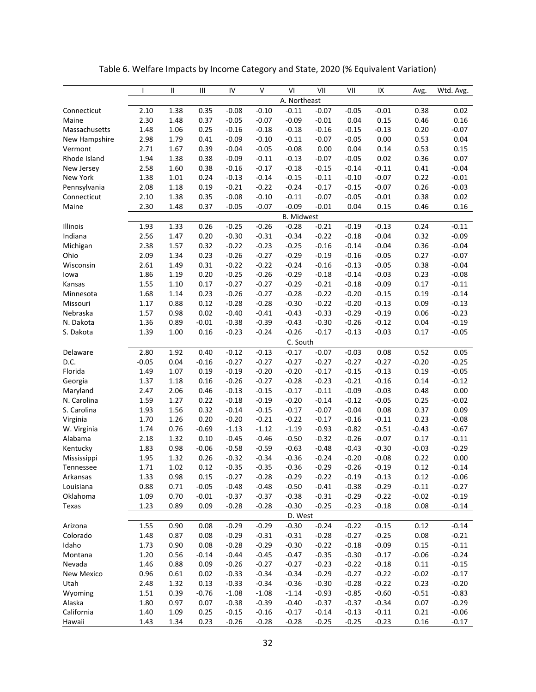|               | $\mathbf{I}$ | Ш    | Ш       | IV      | V       | VI                | VII     | VII     | IX      | Avg.    | Wtd. Avg. |
|---------------|--------------|------|---------|---------|---------|-------------------|---------|---------|---------|---------|-----------|
|               | A. Northeast |      |         |         |         |                   |         |         |         |         |           |
| Connecticut   | 2.10         | 1.38 | 0.35    | $-0.08$ | $-0.10$ | $-0.11$           | $-0.07$ | $-0.05$ | $-0.01$ | 0.38    | 0.02      |
| Maine         | 2.30         | 1.48 | 0.37    | $-0.05$ | $-0.07$ | $-0.09$           | $-0.01$ | 0.04    | 0.15    | 0.46    | 0.16      |
| Massachusetts | 1.48         | 1.06 | 0.25    | $-0.16$ | $-0.18$ | $-0.18$           | $-0.16$ | $-0.15$ | $-0.13$ | 0.20    | $-0.07$   |
| New Hampshire | 2.98         | 1.79 | 0.41    | $-0.09$ | $-0.10$ | $-0.11$           | $-0.07$ | $-0.05$ | 0.00    | 0.53    | 0.04      |
| Vermont       | 2.71         | 1.67 | 0.39    | $-0.04$ | $-0.05$ | $-0.08$           | 0.00    | 0.04    | 0.14    | 0.53    | 0.15      |
| Rhode Island  | 1.94         | 1.38 | 0.38    | $-0.09$ | $-0.11$ | $-0.13$           | $-0.07$ | $-0.05$ | 0.02    | 0.36    | 0.07      |
| New Jersey    | 2.58         | 1.60 | 0.38    | $-0.16$ | $-0.17$ | $-0.18$           | $-0.15$ | $-0.14$ | $-0.11$ | 0.41    | $-0.04$   |
| New York      | 1.38         | 1.01 | 0.24    | $-0.13$ | $-0.14$ | $-0.15$           | $-0.11$ | $-0.10$ | $-0.07$ | 0.22    | $-0.01$   |
| Pennsylvania  | 2.08         | 1.18 | 0.19    | $-0.21$ | $-0.22$ | $-0.24$           | $-0.17$ | $-0.15$ | $-0.07$ | 0.26    | $-0.03$   |
| Connecticut   | 2.10         | 1.38 | 0.35    | $-0.08$ | $-0.10$ | $-0.11$           | $-0.07$ | $-0.05$ | $-0.01$ | 0.38    | 0.02      |
| Maine         | 2.30         | 1.48 | 0.37    | $-0.05$ | $-0.07$ | $-0.09$           | $-0.01$ | 0.04    | 0.15    | 0.46    | 0.16      |
|               |              |      |         |         |         | <b>B.</b> Midwest |         |         |         |         |           |
| Illinois      | 1.93         | 1.33 | 0.26    | $-0.25$ | $-0.26$ | $-0.28$           | $-0.21$ | $-0.19$ | $-0.13$ | 0.24    | $-0.11$   |
| Indiana       | 2.56         | 1.47 | 0.20    | $-0.30$ | $-0.31$ | $-0.34$           | $-0.22$ | $-0.18$ | $-0.04$ | 0.32    | $-0.09$   |
| Michigan      | 2.38         | 1.57 | 0.32    | $-0.22$ | $-0.23$ | $-0.25$           | $-0.16$ | $-0.14$ | $-0.04$ | 0.36    | $-0.04$   |
| Ohio          | 2.09         | 1.34 | 0.23    | $-0.26$ | $-0.27$ | $-0.29$           | $-0.19$ | $-0.16$ | $-0.05$ | 0.27    | $-0.07$   |
| Wisconsin     | 2.61         | 1.49 | 0.31    | $-0.22$ | $-0.22$ | $-0.24$           | $-0.16$ | $-0.13$ | $-0.05$ | 0.38    | $-0.04$   |
| lowa          | 1.86         | 1.19 | 0.20    | $-0.25$ | $-0.26$ | $-0.29$           | $-0.18$ | $-0.14$ | $-0.03$ | 0.23    | $-0.08$   |
| Kansas        | 1.55         | 1.10 | 0.17    | $-0.27$ | $-0.27$ | $-0.29$           | $-0.21$ | $-0.18$ | $-0.09$ | 0.17    | $-0.11$   |
| Minnesota     | 1.68         | 1.14 | 0.23    | $-0.26$ | $-0.27$ | $-0.28$           | $-0.22$ | $-0.20$ | $-0.15$ | 0.19    | $-0.14$   |
| Missouri      | 1.17         | 0.88 | 0.12    | $-0.28$ | $-0.28$ | $-0.30$           | $-0.22$ | $-0.20$ | $-0.13$ | 0.09    | $-0.13$   |
| Nebraska      | 1.57         | 0.98 | 0.02    | $-0.40$ | $-0.41$ | $-0.43$           | $-0.33$ | $-0.29$ | $-0.19$ | 0.06    | $-0.23$   |
| N. Dakota     | 1.36         | 0.89 | $-0.01$ | $-0.38$ | $-0.39$ | $-0.43$           | $-0.30$ | $-0.26$ | $-0.12$ | 0.04    | $-0.19$   |
| S. Dakota     | 1.39         | 1.00 | 0.16    | $-0.23$ | $-0.24$ | $-0.26$           | $-0.17$ | $-0.13$ | $-0.03$ | 0.17    | $-0.05$   |
|               |              |      |         |         |         | C. South          |         |         |         |         |           |
| Delaware      | 2.80         | 1.92 | 0.40    | $-0.12$ | $-0.13$ | $-0.17$           | $-0.07$ | $-0.03$ | 0.08    | 0.52    | 0.05      |
| D.C.          | $-0.05$      | 0.04 | $-0.16$ | $-0.27$ | $-0.27$ | $-0.27$           | $-0.27$ | $-0.27$ | $-0.27$ | $-0.20$ | $-0.25$   |
| Florida       | 1.49         | 1.07 | 0.19    | $-0.19$ | $-0.20$ | $-0.20$           | $-0.17$ | $-0.15$ | $-0.13$ | 0.19    | $-0.05$   |
| Georgia       | 1.37         | 1.18 | 0.16    | $-0.26$ | $-0.27$ | $-0.28$           | $-0.23$ | $-0.21$ | $-0.16$ | 0.14    | $-0.12$   |
| Maryland      | 2.47         | 2.06 | 0.46    | $-0.13$ | $-0.15$ | $-0.17$           | $-0.11$ | $-0.09$ | $-0.03$ | 0.48    | 0.00      |
| N. Carolina   | 1.59         | 1.27 | 0.22    | $-0.18$ | $-0.19$ | $-0.20$           | $-0.14$ | $-0.12$ | $-0.05$ | 0.25    | $-0.02$   |
| S. Carolina   | 1.93         | 1.56 | 0.32    | $-0.14$ | $-0.15$ | $-0.17$           | $-0.07$ | $-0.04$ | 0.08    | 0.37    | 0.09      |
| Virginia      | 1.70         | 1.26 | 0.20    | $-0.20$ | $-0.21$ | $-0.22$           | $-0.17$ | $-0.16$ | $-0.11$ | 0.23    | $-0.08$   |
| W. Virginia   | 1.74         | 0.76 | $-0.69$ | $-1.13$ | $-1.12$ | $-1.19$           | $-0.93$ | $-0.82$ | $-0.51$ | $-0.43$ | $-0.67$   |
| Alabama       | 2.18         | 1.32 | 0.10    | $-0.45$ | $-0.46$ | $-0.50$           | $-0.32$ | $-0.26$ | $-0.07$ | 0.17    | $-0.11$   |
| Kentucky      | 1.83         | 0.98 | $-0.06$ | $-0.58$ | $-0.59$ | $-0.63$           | $-0.48$ | $-0.43$ | $-0.30$ | $-0.03$ | $-0.29$   |
| Mississippi   | 1.95         | 1.32 | 0.26    | $-0.32$ | $-0.34$ | $-0.36$           | $-0.24$ | $-0.20$ | $-0.08$ | 0.22    | 0.00      |
| Tennessee     | 1.71         | 1.02 | 0.12    | $-0.35$ | $-0.35$ | $-0.36$           | $-0.29$ | $-0.26$ | $-0.19$ | 0.12    | $-0.14$   |
| Arkansas      | 1.33         | 0.98 | 0.15    | $-0.27$ | $-0.28$ | $-0.29$           | $-0.22$ | $-0.19$ | $-0.13$ | 0.12    | $-0.06$   |
| Louisiana     | 0.88         | 0.71 | $-0.05$ | $-0.48$ | $-0.48$ | $-0.50$           | $-0.41$ | $-0.38$ | $-0.29$ | $-0.11$ | $-0.27$   |
| Oklahoma      | 1.09         | 0.70 | $-0.01$ | $-0.37$ | $-0.37$ | $-0.38$           | $-0.31$ | $-0.29$ | $-0.22$ | $-0.02$ | $-0.19$   |
| Texas         | 1.23         | 0.89 | 0.09    | $-0.28$ | $-0.28$ | $-0.30$           | $-0.25$ | $-0.23$ | $-0.18$ | 0.08    | $-0.14$   |
|               |              |      |         |         |         | D. West           |         |         |         |         |           |
| Arizona       | 1.55         | 0.90 | 0.08    | $-0.29$ | $-0.29$ | $-0.30$           | $-0.24$ | $-0.22$ | $-0.15$ | 0.12    | $-0.14$   |
| Colorado      | 1.48         | 0.87 | 0.08    | $-0.29$ | $-0.31$ | $-0.31$           | $-0.28$ | $-0.27$ | $-0.25$ | 0.08    | $-0.21$   |
| Idaho         | 1.73         | 0.90 | 0.08    | $-0.28$ | $-0.29$ | $-0.30$           | $-0.22$ | $-0.18$ | $-0.09$ | 0.15    | $-0.11$   |
| Montana       | 1.20         | 0.56 | $-0.14$ | $-0.44$ | $-0.45$ | $-0.47$           | $-0.35$ | $-0.30$ | $-0.17$ | $-0.06$ | $-0.24$   |
| Nevada        | 1.46         | 0.88 | 0.09    | $-0.26$ | $-0.27$ | $-0.27$           | $-0.23$ | $-0.22$ | $-0.18$ | 0.11    | $-0.15$   |
| New Mexico    | 0.96         | 0.61 | 0.02    | $-0.33$ | $-0.34$ | $-0.34$           | $-0.29$ | $-0.27$ | $-0.22$ | $-0.02$ | $-0.17$   |
| Utah          | 2.48         | 1.32 | 0.13    | $-0.33$ | $-0.34$ | $-0.36$           | $-0.30$ | $-0.28$ | $-0.22$ | 0.23    | $-0.20$   |
| Wyoming       | 1.51         | 0.39 | $-0.76$ | $-1.08$ | $-1.08$ | $-1.14$           | $-0.93$ | $-0.85$ | $-0.60$ | $-0.51$ | $-0.83$   |
| Alaska        | 1.80         | 0.97 | 0.07    | $-0.38$ | $-0.39$ | $-0.40$           | $-0.37$ | $-0.37$ | $-0.34$ | 0.07    | $-0.29$   |
| California    | 1.40         | 1.09 | 0.25    | $-0.15$ | $-0.16$ | $-0.17$           | $-0.14$ | $-0.13$ | $-0.11$ | 0.21    | $-0.06$   |
| Hawaii        | 1.43         | 1.34 | 0.23    | $-0.26$ | $-0.28$ | $-0.28$           | $-0.25$ | $-0.25$ | $-0.23$ | 0.16    | $-0.17$   |

Table 6. Welfare Impacts by Income Category and State, 2020 (% Equivalent Variation)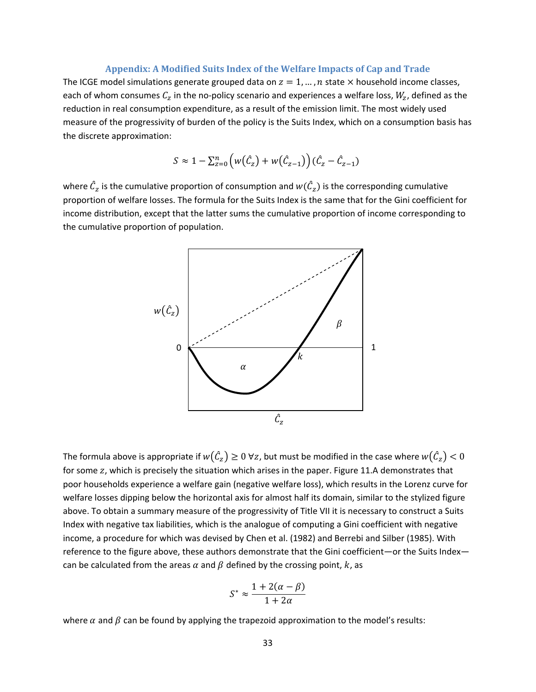#### **Appendix: A Modified Suits Index of the Welfare Impacts of Cap and Trade**

The ICGE model simulations generate grouped data on  $z = 1, ..., n$  state  $\times$  household income classes, each of whom consumes  $C_z$  in the no-policy scenario and experiences a welfare loss,  $W_z$ , defined as the reduction in real consumption expenditure, as a result of the emission limit. The most widely used measure of the progressivity of burden of the policy is the Suits Index, which on a consumption basis has the discrete approximation:

$$
S \approx 1 - \sum_{z=0}^{n} \left( w(\hat{C}_z) + w(\hat{C}_{z-1}) \right) (\hat{C}_z - \hat{C}_{z-1})
$$

where  $\hat{\mathcal{C}}_z$  is the cumulative proportion of consumption and  $w(\hat{\mathcal{C}}_z)$  is the corresponding cumulative proportion of welfare losses. The formula for the Suits Index is the same that for the Gini coefficient for income distribution, except that the latter sums the cumulative proportion of income corresponding to the cumulative proportion of population.



The formula above is appropriate if  $w(\hat{\mathcal{C}}_z)\geq 0$   $\forall z$ , but must be modified in the case where  $w(\hat{\mathcal{C}}_z)< 0$ for some z, which is precisely the situation which arises in the paper. Figure 11.A demonstrates that poor households experience a welfare gain (negative welfare loss), which results in the Lorenz curve for welfare losses dipping below the horizontal axis for almost half its domain, similar to the stylized figure above. To obtain a summary measure of the progressivity of Title VII it is necessary to construct a Suits Index with negative tax liabilities, which is the analogue of computing a Gini coefficient with negative income, a procedure for which was devised by Chen et al. (1982) and Berrebi and Silber (1985). With reference to the figure above, these authors demonstrate that the Gini coefficient—or the Suits Index can be calculated from the areas  $\alpha$  and  $\beta$  defined by the crossing point, k, as

$$
S^* \approx \frac{1 + 2(\alpha - \beta)}{1 + 2\alpha}
$$

where  $\alpha$  and  $\beta$  can be found by applying the trapezoid approximation to the model's results: